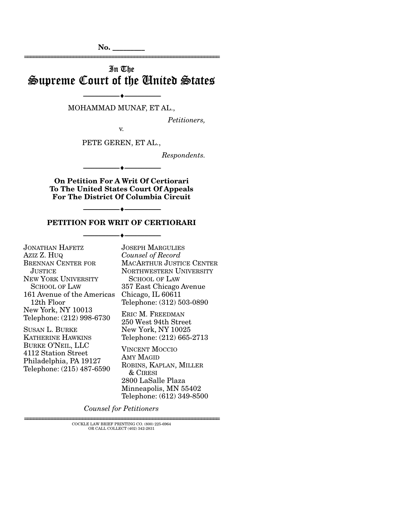**No. \_\_\_\_\_\_\_\_\_** 

# In The Supreme Court of the United States

================================================================

## --------------------------------- ♦ --------------------------------- MOHAMMAD MUNAF, ET AL.,

*Petitioners,* 

v.

PETE GEREN, ET AL.,

*Respondents.* 

**On Petition For A Writ Of Certiorari To The United States Court Of Appeals For The District Of Columbia Circuit** 

--------------------------------- ♦ ---------------------------------

--------------------------------- ♦ ---------------------------------

#### **PETITION FOR WRIT OF CERTIORARI**

--------------------------------- ♦ ---------------------------------

JONATHAN HAFETZ AZIZ Z. HUQ BRENNAN CENTER FOR JUSTICE. NEW YORK UNIVERSITY SCHOOL OF LAW 161 Avenue of the Americas Chicago, IL 60611 12th Floor New York, NY 10013 Telephone: (212) 998-6730 SUSAN L. BURKE KATHERINE HAWKINS BURKE O'NEIL, LLC 4112 Station Street

Philadelphia, PA 19127 Telephone: (215) 487-6590 JOSEPH MARGULIES *Counsel of Record* MACARTHUR JUSTICE CENTER NORTHWESTERN UNIVERSITY SCHOOL OF LAW 357 East Chicago Avenue Telephone: (312) 503-0890

ERIC M. FREEDMAN 250 West 94th Street New York, NY 10025 Telephone: (212) 665-2713

VINCENT MOCCIO AMY MAGID ROBINS, KAPLAN, MILLER & CIRESI 2800 LaSalle Plaza Minneapolis, MN 55402 Telephone: (612) 349-8500

*Counsel for Petitioners* 

 ${\rm COCKLE}$  LAW BRIEF PRINTING CO.  $(800)$  225-6964 OR CALL COLLECT (402) 342-2831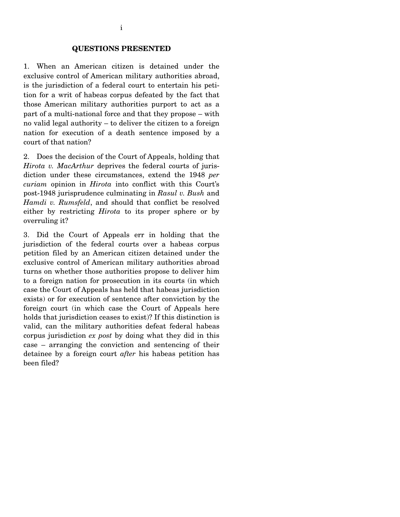1. When an American citizen is detained under the exclusive control of American military authorities abroad, is the jurisdiction of a federal court to entertain his petition for a writ of habeas corpus defeated by the fact that those American military authorities purport to act as a part of a multi-national force and that they propose – with no valid legal authority – to deliver the citizen to a foreign nation for execution of a death sentence imposed by a court of that nation?

2. Does the decision of the Court of Appeals, holding that *Hirota v. MacArthur* deprives the federal courts of jurisdiction under these circumstances, extend the 1948 *per curiam* opinion in *Hirota* into conflict with this Court's post-1948 jurisprudence culminating in *Rasul v. Bush* and *Hamdi v. Rumsfeld*, and should that conflict be resolved either by restricting *Hirota* to its proper sphere or by overruling it?

3. Did the Court of Appeals err in holding that the jurisdiction of the federal courts over a habeas corpus petition filed by an American citizen detained under the exclusive control of American military authorities abroad turns on whether those authorities propose to deliver him to a foreign nation for prosecution in its courts (in which case the Court of Appeals has held that habeas jurisdiction exists) or for execution of sentence after conviction by the foreign court (in which case the Court of Appeals here holds that jurisdiction ceases to exist)? If this distinction is valid, can the military authorities defeat federal habeas corpus jurisdiction *ex post* by doing what they did in this case – arranging the conviction and sentencing of their detainee by a foreign court *after* his habeas petition has been filed?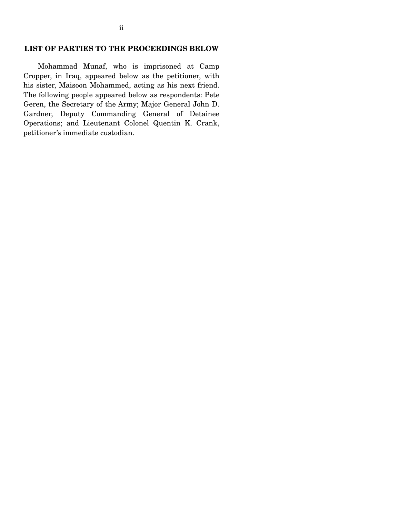#### **LIST OF PARTIES TO THE PROCEEDINGS BELOW**

 Mohammad Munaf, who is imprisoned at Camp Cropper, in Iraq, appeared below as the petitioner, with his sister, Maisoon Mohammed, acting as his next friend. The following people appeared below as respondents: Pete Geren, the Secretary of the Army; Major General John D. Gardner, Deputy Commanding General of Detainee Operations; and Lieutenant Colonel Quentin K. Crank, petitioner's immediate custodian.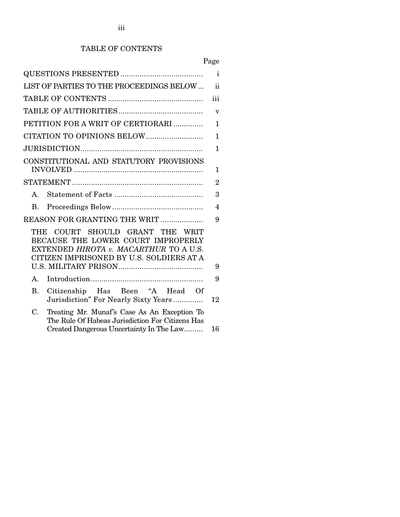## TABLE OF CONTENTS

|                                                                                                                                                                | $\mathbf{i}$            |
|----------------------------------------------------------------------------------------------------------------------------------------------------------------|-------------------------|
| LIST OF PARTIES TO THE PROCEEDINGS BELOW                                                                                                                       | ii                      |
|                                                                                                                                                                | iii                     |
|                                                                                                                                                                | $\overline{\mathbf{V}}$ |
| PETITION FOR A WRIT OF CERTIORARI                                                                                                                              | $\mathbf{1}$            |
|                                                                                                                                                                | $\mathbf{1}$            |
|                                                                                                                                                                | 1                       |
| CONSTITUTIONAL AND STATUTORY PROVISIONS                                                                                                                        |                         |
|                                                                                                                                                                | 1                       |
|                                                                                                                                                                | $\overline{2}$          |
| $A_{\cdot}$                                                                                                                                                    | 3                       |
| $B_{\cdot}$                                                                                                                                                    | $\overline{\mathbf{4}}$ |
| REASON FOR GRANTING THE WRIT                                                                                                                                   | 9                       |
| COURT SHOULD GRANT THE WRIT<br>THE<br>BECAUSE THE LOWER COURT IMPROPERLY<br>EXTENDED HIROTA v. MACARTHUR TO A U.S.<br>CITIZEN IMPRISONED BY U.S. SOLDIERS AT A |                         |
|                                                                                                                                                                | 9                       |
| $A_{1}$                                                                                                                                                        | 9                       |
| $\bf{B}$ .<br>Citizenship Has Been "A Head Of<br>Jurisdiction" For Nearly Sixty Years                                                                          | 12                      |
| Treating Mr. Munaf's Case As An Exception To<br>C.<br>The Rule Of Habeas Jurisdiction For Citizens Has<br>Created Dangerous Uncertainty In The Law             | 16                      |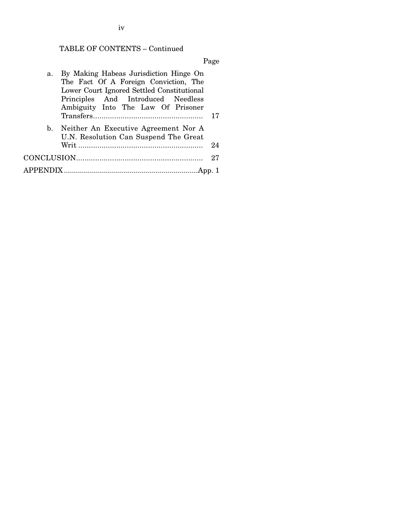## TABLE OF CONTENTS – Continued

Page

| a. | By Making Habeas Jurisdiction Hinge On                                           |    |
|----|----------------------------------------------------------------------------------|----|
|    | The Fact Of A Foreign Conviction, The                                            |    |
|    | Lower Court Ignored Settled Constitutional                                       |    |
|    | Principles And Introduced Needless                                               |    |
|    | Ambiguity Into The Law Of Prisoner                                               |    |
|    |                                                                                  |    |
|    | b. Neither An Executive Agreement Nor A<br>U.N. Resolution Can Suspend The Great |    |
|    |                                                                                  | 24 |
|    |                                                                                  | 27 |
|    |                                                                                  |    |
|    |                                                                                  |    |

iv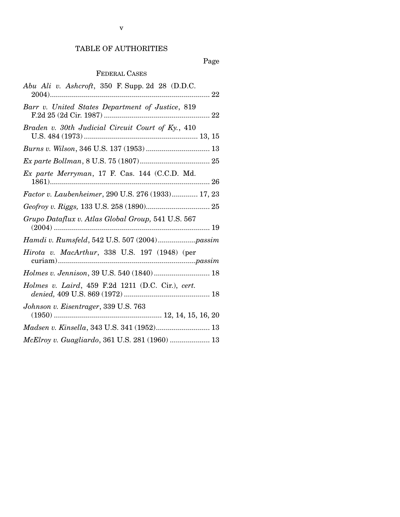## TABLE OF AUTHORITIES

## Page

## FEDERAL CASES

| Abu Ali v. Ashcroft, 350 F. Supp. 2d 28 (D.D.C.    |
|----------------------------------------------------|
| Barr v. United States Department of Justice, 819   |
| Braden v. 30th Judicial Circuit Court of Ky., 410  |
| Burns v. Wilson, 346 U.S. 137 (1953) 13            |
|                                                    |
| Ex parte Merryman, 17 F. Cas. 144 (C.C.D. Md.      |
| Factor v. Laubenheimer, 290 U.S. 276 (1933) 17, 23 |
|                                                    |
|                                                    |
| Grupo Dataflux v. Atlas Global Group, 541 U.S. 567 |
|                                                    |
| Hirota v. MacArthur, 338 U.S. 197 (1948) (per      |
| Holmes v. Jennison, 39 U.S. 540 (1840) 18          |
| Holmes v. Laird, 459 F.2d 1211 (D.C. Cir.), cert.  |
| Johnson v. Eisentrager, 339 U.S. 763               |
| Madsen v. Kinsella, 343 U.S. 341 (1952) 13         |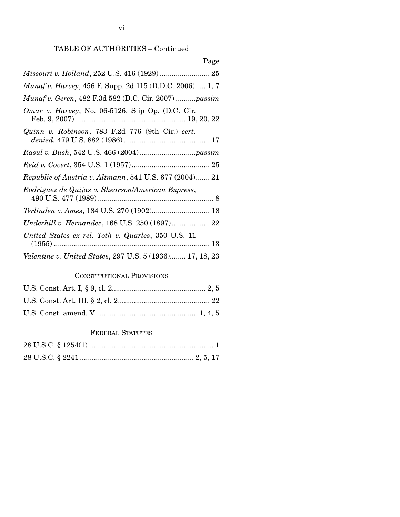## TABLE OF AUTHORITIES – Continued

| Page                                                            |
|-----------------------------------------------------------------|
| Missouri v. Holland, 252 U.S. 416 (1929)  25                    |
| <i>Munaf v. Harvey</i> , 456 F. Supp. 2d 115 (D.D.C. 2006) 1, 7 |
| Munaf v. Geren, 482 F.3d 582 (D.C. Cir. 2007) passim            |
| <i>Omar v. Harvey</i> , No. 06-5126, Slip Op. (D.C. Cir.        |
| Quinn v. Robinson, 783 F.2d 776 (9th Cir.) cert.                |
|                                                                 |
|                                                                 |
| Republic of Austria v. Altmann, 541 U.S. 677 (2004) 21          |
| Rodriguez de Quijas v. Shearson/American Express,               |
| Terlinden v. Ames, 184 U.S. 270 (1902) 18                       |
| Underhill v. Hernandez, 168 U.S. 250 (1897) 22                  |
| United States ex rel. Toth v. Quarles, 350 U.S. 11              |
| Valentine v. United States, 297 U.S. 5 (1936) 17, 18, 23        |

## CONSTITUTIONAL PROVISIONS

### FEDERAL STATUTES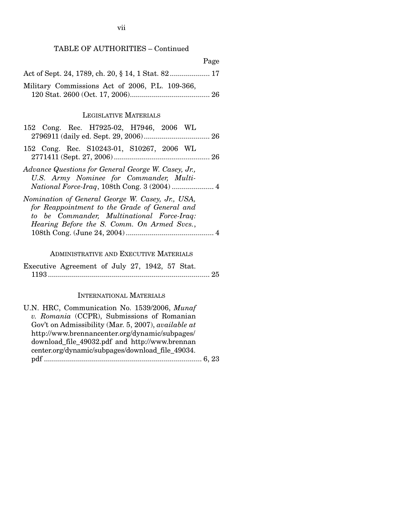## TABLE OF AUTHORITIES – Continued

|                                                 | Page |
|-------------------------------------------------|------|
|                                                 |      |
| Military Commissions Act of 2006, P.L. 109-366, |      |
|                                                 |      |

#### LEGISLATIVE MATERIALS

| 152 Cong. Rec. H7925-02, H7946, 2006 WL             |
|-----------------------------------------------------|
|                                                     |
| 152 Cong. Rec. S10243-01, S10267, 2006 WL           |
|                                                     |
| Advance Questions for General George W. Casey, Jr., |
| U.S. Army Nominee for Commander, Multi-             |
|                                                     |
| Nomination of General George W. Casey, Jr., USA,    |
| for Reappointment to the Grade of General and       |
| to be Commander, Multinational Force-Iraq:          |
| Hearing Before the S. Comm. On Armed Svcs.,         |
|                                                     |

### ADMINISTRATIVE AND EXECUTIVE MATERIALS

Executive Agreement of July 27, 1942, 57 Stat. 1193 ................................................................................. 25

### INTERNATIONAL MATERIALS

| U.N. HRC, Communication No. 1539/2006, Munaf               |
|------------------------------------------------------------|
| v. Romania (CCPR), Submissions of Romanian                 |
| Gov't on Admissibility (Mar. 5, 2007), <i>available at</i> |
| http://www.brennancenter.org/dynamic/subpages/             |
| download_file_49032.pdf and http://www.brennan             |
| center.org/dynamic/subpages/download_file_49034.           |
|                                                            |
|                                                            |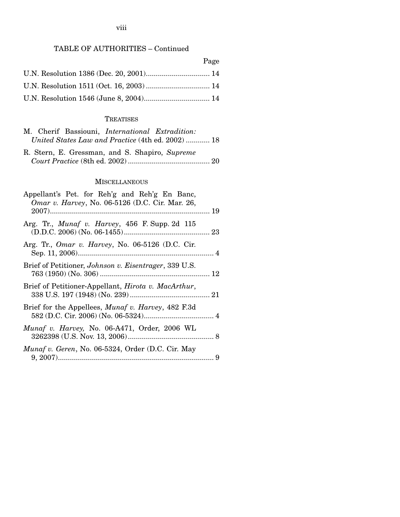#### viii

## TABLE OF AUTHORITIES – Continued

| Page |
|------|
|      |
|      |
|      |

### **TREATISES**

|  | M. Cherif Bassiouni, <i>International Extradition</i> : |  |
|--|---------------------------------------------------------|--|
|  | United States Law and Practice (4th ed. 2002)  18       |  |

R. Stern, E. Gressman, and S. Shapiro, *Supreme Court Practice* (8th ed. 2002) ......................................... 20

### **MISCELLANEOUS**

| Appellant's Pet. for Reh'g and Reh'g En Banc,<br><i>Omar v. Harvey</i> , No. 06-5126 (D.C. Cir. Mar. 26, |  |
|----------------------------------------------------------------------------------------------------------|--|
| Arg. Tr., <i>Munaf v. Harvey</i> , 456 F. Supp. 2d 115                                                   |  |
| Arg. Tr., <i>Omar v. Harvey</i> , No. 06-5126 (D.C. Cir.                                                 |  |
| Brief of Petitioner, Johnson v. Eisentrager, 339 U.S.                                                    |  |
| Brief of Petitioner-Appellant, <i>Hirota v. MacArthur</i> ,                                              |  |
| Brief for the Appellees, <i>Munaf v. Harvey</i> , 482 F.3d                                               |  |
| Munaf v. Harvey, No. 06-A471, Order, 2006 WL                                                             |  |
| Munaf v. Geren, No. 06-5324, Order (D.C. Cir. May                                                        |  |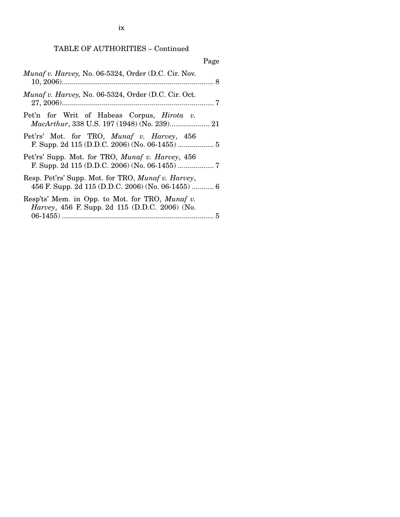TABLE OF AUTHORITIES – Continued

|                                                                                                                  | Page |
|------------------------------------------------------------------------------------------------------------------|------|
| Munaf v. Harvey, No. 06-5324, Order (D.C. Cir. Nov.                                                              |      |
| Munaf v. Harvey, No. 06-5324, Order (D.C. Cir. Oct.                                                              |      |
| Pet'n for Writ of Habeas Corpus, <i>Hirota v.</i><br>MacArthur, 338 U.S. 197 (1948) (No. 239) 21                 |      |
| Pet'rs' Mot. for TRO, Munaf v. Harvey, 456                                                                       |      |
| Pet'rs' Supp. Mot. for TRO, Munaf v. Harvey, 456                                                                 |      |
| Resp. Pet'rs' Supp. Mot. for TRO, <i>Munaf v. Harvey</i> ,<br>456 F. Supp. 2d 115 (D.D.C. 2006) (No. 06-1455)  6 |      |
| Resp'ts' Mem. in Opp. to Mot. for TRO, Munaf v.<br><i>Harvey</i> , 456 F. Supp. 2d 115 (D.D.C. 2006) (No.        |      |
|                                                                                                                  |      |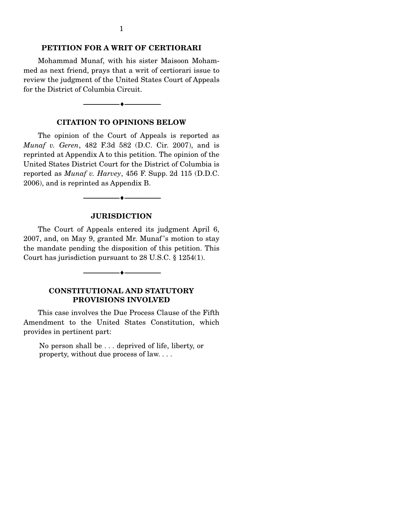#### **PETITION FOR A WRIT OF CERTIORARI**

 Mohammad Munaf, with his sister Maisoon Mohammed as next friend, prays that a writ of certiorari issue to review the judgment of the United States Court of Appeals for the District of Columbia Circuit.

#### **CITATION TO OPINIONS BELOW**

--------------------------------- ♦ ---------------------------------

 The opinion of the Court of Appeals is reported as *Munaf v. Geren*, 482 F.3d 582 (D.C. Cir. 2007), and is reprinted at Appendix A to this petition. The opinion of the United States District Court for the District of Columbia is reported as *Munaf v. Harvey*, 456 F. Supp. 2d 115 (D.D.C. 2006), and is reprinted as Appendix B.

#### **JURISDICTION**

 $-\bullet-$ 

 The Court of Appeals entered its judgment April 6, 2007, and, on May 9, granted Mr. Munaf 's motion to stay the mandate pending the disposition of this petition. This Court has jurisdiction pursuant to 28 U.S.C. § 1254(1).

### **CONSTITUTIONAL AND STATUTORY PROVISIONS INVOLVED**

--------------------------------- ♦ ---------------------------------

 This case involves the Due Process Clause of the Fifth Amendment to the United States Constitution, which provides in pertinent part:

No person shall be . . . deprived of life, liberty, or property, without due process of law. . . .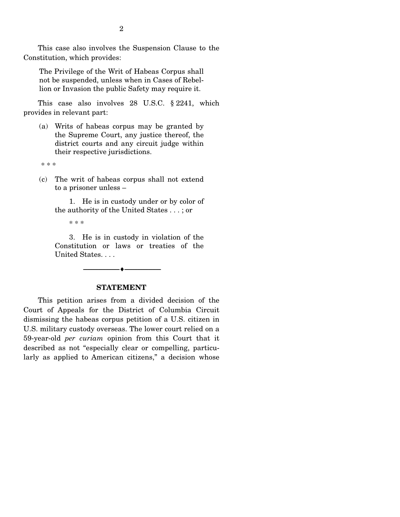This case also involves the Suspension Clause to the Constitution, which provides:

The Privilege of the Writ of Habeas Corpus shall not be suspended, unless when in Cases of Rebellion or Invasion the public Safety may require it.

 This case also involves 28 U.S.C. § 2241, which provides in relevant part:

(a) Writs of habeas corpus may be granted by the Supreme Court, any justice thereof, the district courts and any circuit judge within their respective jurisdictions.

\* \* \*

(c) The writ of habeas corpus shall not extend to a prisoner unless –

 1. He is in custody under or by color of the authority of the United States . . . ; or

\* \* \*

 3. He is in custody in violation of the Constitution or laws or treaties of the United States. . . .

#### **STATEMENT**

--------------------------------- ♦ ---------------------------------

 This petition arises from a divided decision of the Court of Appeals for the District of Columbia Circuit dismissing the habeas corpus petition of a U.S. citizen in U.S. military custody overseas. The lower court relied on a 59-year-old *per curiam* opinion from this Court that it described as not "especially clear or compelling, particularly as applied to American citizens," a decision whose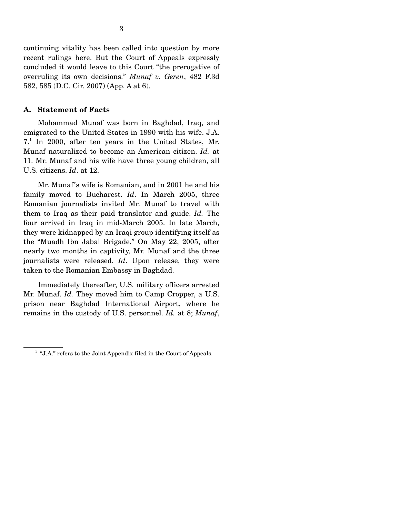continuing vitality has been called into question by more recent rulings here. But the Court of Appeals expressly concluded it would leave to this Court "the prerogative of overruling its own decisions." *Munaf v. Geren*, 482 F.3d 582, 585 (D.C. Cir. 2007) (App. A at 6).

#### **A. Statement of Facts**

 Mohammad Munaf was born in Baghdad, Iraq, and emigrated to the United States in 1990 with his wife. J.A. 7.<sup>1</sup> In 2000, after ten years in the United States, Mr. Munaf naturalized to become an American citizen. *Id.* at 11. Mr. Munaf and his wife have three young children, all U.S. citizens. *Id*. at 12.

 Mr. Munaf's wife is Romanian, and in 2001 he and his family moved to Bucharest. *Id*. In March 2005, three Romanian journalists invited Mr. Munaf to travel with them to Iraq as their paid translator and guide. *Id.* The four arrived in Iraq in mid-March 2005. In late March, they were kidnapped by an Iraqi group identifying itself as the "Muadh Ibn Jabal Brigade." On May 22, 2005, after nearly two months in captivity, Mr. Munaf and the three journalists were released. *Id*. Upon release, they were taken to the Romanian Embassy in Baghdad.

 Immediately thereafter, U.S. military officers arrested Mr. Munaf. *Id.* They moved him to Camp Cropper, a U.S. prison near Baghdad International Airport, where he remains in the custody of U.S. personnel. *Id.* at 8; *Munaf*,

<sup>&</sup>lt;sup>1</sup> "J.A." refers to the Joint Appendix filed in the Court of Appeals.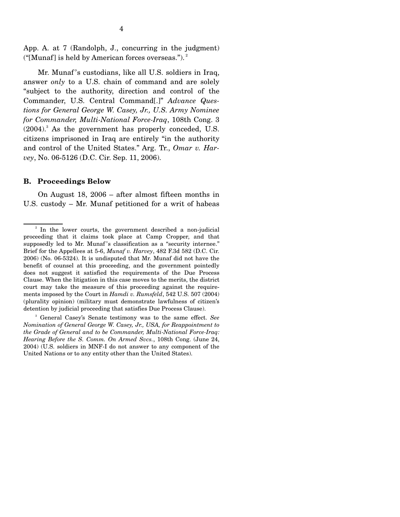App. A. at 7 (Randolph, J., concurring in the judgment) ("[Munaf] is held by American forces overseas."). $^2$ 

 Mr. Munaf 's custodians, like all U.S. soldiers in Iraq, answer *only* to a U.S. chain of command and are solely "subject to the authority, direction and control of the Commander, U.S. Central Command[.]" *Advance Questions for General George W. Casey, Jr., U.S. Army Nominee for Commander, Multi-National Force-Iraq*, 108th Cong. 3  $(2004).$ <sup>3</sup> As the government has properly conceded, U.S. citizens imprisoned in Iraq are entirely "in the authority and control of the United States." Arg. Tr., *Omar v. Harvey*, No. 06-5126 (D.C. Cir. Sep. 11, 2006).

#### **B. Proceedings Below**

On August 18, 2006 – after almost fifteen months in U.S. custody – Mr. Munaf petitioned for a writ of habeas

<sup>&</sup>lt;sup>2</sup> In the lower courts, the government described a non-judicial proceeding that it claims took place at Camp Cropper, and that supposedly led to Mr. Munaf 's classification as a "security internee." Brief for the Appellees at 5-6, *Munaf v. Harvey*, 482 F.3d 582 (D.C. Cir. 2006) (No. 06-5324). It is undisputed that Mr. Munaf did not have the benefit of counsel at this proceeding, and the government pointedly does not suggest it satisfied the requirements of the Due Process Clause. When the litigation in this case moves to the merits, the district court may take the measure of this proceeding against the requirements imposed by the Court in *Hamdi v. Rumsfeld*, 542 U.S. 507 (2004) (plurality opinion) (military must demonstrate lawfulness of citizen's detention by judicial proceeding that satisfies Due Process Clause).

<sup>3</sup> General Casey's Senate testimony was to the same effect. *See Nomination of General George W. Casey, Jr., USA, for Reappointment to the Grade of General and to be Commander, Multi-National Force-Iraq: Hearing Before the S. Comm. On Armed Svcs.*, 108th Cong. (June 24, 2004) (U.S. soldiers in MNF-I do not answer to any component of the United Nations or to any entity other than the United States).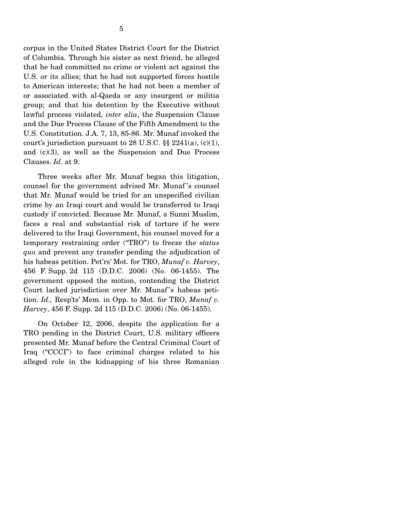corpus in the United States District Court for the District of Columbia. Through his sister as next friend, he alleged that he had committed no crime or violent act against the U.S. or its allies; that he had not supported forces hostile to American interests; that he had not been a member of or associated with al-Qaeda or any insurgent or militia group; and that his detention by the Executive without lawful process violated, *inter alia*, the Suspension Clause and the Due Process Clause of the Fifth Amendment to the U.S. Constitution. J.A. 7, 13, 85-86. Mr. Munaf invoked the court's jurisdiction pursuant to 28 U.S.C.  $\S\S 2241(a)$ , (c)(1), and (c)(3), as well as the Suspension and Due Process Clauses. *Id.* at 9.

 Three weeks after Mr. Munaf began this litigation, counsel for the government advised Mr. Munaf 's counsel that Mr. Munaf would be tried for an unspecified civilian crime by an Iraqi court and would be transferred to Iraqi custody if convicted. Because Mr. Munaf, a Sunni Muslim, faces a real and substantial risk of torture if he were delivered to the Iraqi Government, his counsel moved for a temporary restraining order ("TRO") to freeze the *status quo* and prevent any transfer pending the adjudication of his habeas petition. Pet'rs' Mot. for TRO, *Munaf v. Harvey*, 456 F. Supp. 2d 115 (D.D.C. 2006) (No. 06-1455). The government opposed the motion, contending the District Court lacked jurisdiction over Mr. Munaf 's habeas petition. *Id.,* Resp'ts' Mem. in Opp. to Mot. for TRO, *Munaf v. Harvey*, 456 F. Supp. 2d 115 (D.D.C. 2006) (No. 06-1455).

 On October 12, 2006, despite the application for a TRO pending in the District Court, U.S. military officers presented Mr. Munaf before the Central Criminal Court of Iraq ("CCCI") to face criminal charges related to his alleged role in the kidnapping of his three Romanian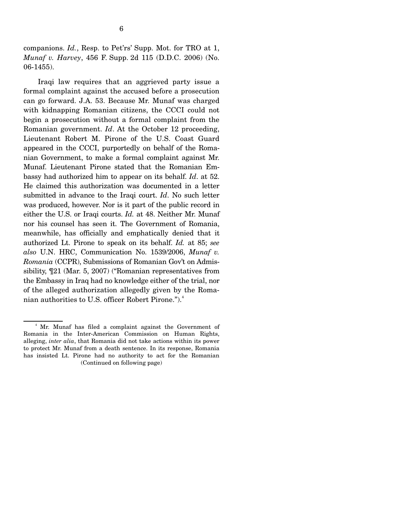companions. *Id.*, Resp. to Pet'rs' Supp. Mot. for TRO at 1, *Munaf v. Harvey*, 456 F. Supp. 2d 115 (D.D.C. 2006) (No. 06-1455).

 Iraqi law requires that an aggrieved party issue a formal complaint against the accused before a prosecution can go forward. J.A. 53. Because Mr. Munaf was charged with kidnapping Romanian citizens, the CCCI could not begin a prosecution without a formal complaint from the Romanian government. *Id*. At the October 12 proceeding, Lieutenant Robert M. Pirone of the U.S. Coast Guard appeared in the CCCI, purportedly on behalf of the Romanian Government, to make a formal complaint against Mr. Munaf. Lieutenant Pirone stated that the Romanian Embassy had authorized him to appear on its behalf. *Id*. at 52. He claimed this authorization was documented in a letter submitted in advance to the Iraqi court. *Id*. No such letter was produced, however. Nor is it part of the public record in either the U.S. or Iraqi courts. *Id.* at 48. Neither Mr. Munaf nor his counsel has seen it. The Government of Romania, meanwhile, has officially and emphatically denied that it authorized Lt. Pirone to speak on its behalf. *Id.* at 85; *see also* U.N. HRC, Communication No. 1539/2006, *Munaf v. Romania* (CCPR), Submissions of Romanian Gov't on Admissibility, ¶21 (Mar. 5, 2007) ("Romanian representatives from the Embassy in Iraq had no knowledge either of the trial, nor of the alleged authorization allegedly given by the Romanian authorities to U.S. officer Robert Pirone.").<sup>4</sup>

<sup>4</sup> Mr. Munaf has filed a complaint against the Government of Romania in the Inter-American Commission on Human Rights, alleging, *inter alia*, that Romania did not take actions within its power to protect Mr. Munaf from a death sentence. In its response, Romania has insisted Lt. Pirone had no authority to act for the Romanian (Continued on following page)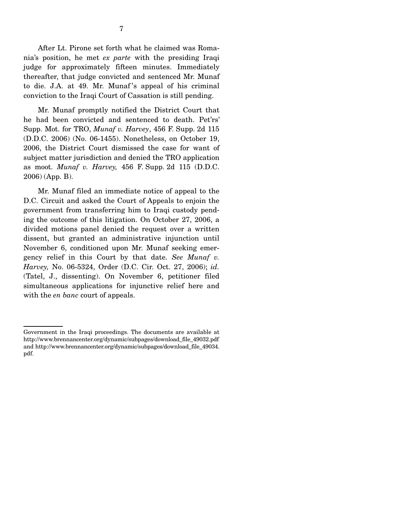After Lt. Pirone set forth what he claimed was Romania's position, he met *ex parte* with the presiding Iraqi judge for approximately fifteen minutes. Immediately thereafter, that judge convicted and sentenced Mr. Munaf to die. J.A. at 49. Mr. Munaf 's appeal of his criminal conviction to the Iraqi Court of Cassation is still pending.

 Mr. Munaf promptly notified the District Court that he had been convicted and sentenced to death. Pet'rs' Supp. Mot. for TRO, *Munaf v. Harvey*, 456 F. Supp. 2d 115 (D.D.C. 2006) (No. 06-1455). Nonetheless, on October 19, 2006, the District Court dismissed the case for want of subject matter jurisdiction and denied the TRO application as moot. *Munaf v. Harvey,* 456 F. Supp. 2d 115 (D.D.C. 2006) (App. B).

 Mr. Munaf filed an immediate notice of appeal to the D.C. Circuit and asked the Court of Appeals to enjoin the government from transferring him to Iraqi custody pending the outcome of this litigation. On October 27, 2006, a divided motions panel denied the request over a written dissent, but granted an administrative injunction until November 6, conditioned upon Mr. Munaf seeking emergency relief in this Court by that date. *See Munaf v. Harvey,* No. 06-5324, Order (D.C. Cir. Oct. 27, 2006); *id.*  (Tatel, J., dissenting). On November 6, petitioner filed simultaneous applications for injunctive relief here and with the *en banc* court of appeals.

Government in the Iraqi proceedings. The documents are available at http://www.brennancenter.org/dynamic/subpages/download\_file\_49032.pdf and http://www.brennancenter.org/dynamic/subpages/download\_file\_49034. pdf.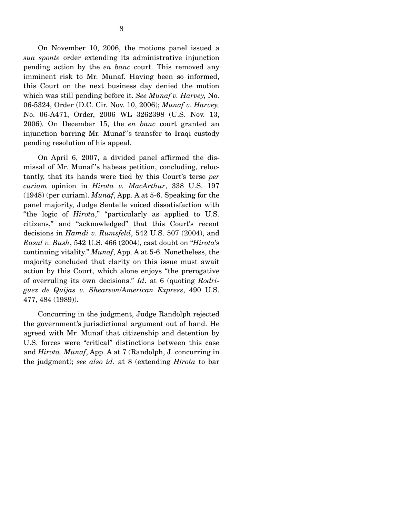On November 10, 2006, the motions panel issued a *sua sponte* order extending its administrative injunction pending action by the *en banc* court. This removed any imminent risk to Mr. Munaf. Having been so informed, this Court on the next business day denied the motion which was still pending before it. *See Munaf v. Harvey,* No. 06-5324, Order (D.C. Cir. Nov. 10, 2006); *Munaf v. Harvey,*  No. 06-A471, Order, 2006 WL 3262398 (U.S. Nov. 13, 2006). On December 15, the *en banc* court granted an injunction barring Mr. Munaf 's transfer to Iraqi custody pending resolution of his appeal.

 On April 6, 2007, a divided panel affirmed the dismissal of Mr. Munaf 's habeas petition, concluding, reluctantly, that its hands were tied by this Court's terse *per curiam* opinion in *Hirota v. MacArthur*, 338 U.S. 197 (1948) (per curiam). *Munaf*, App. A at 5-6. Speaking for the panel majority, Judge Sentelle voiced dissatisfaction with "the logic of *Hirota*," "particularly as applied to U.S. citizens," and "acknowledged" that this Court's recent decisions in *Hamdi v. Rumsfeld*, 542 U.S. 507 (2004), and *Rasul v. Bush*, 542 U.S. 466 (2004), cast doubt on "*Hirota*'s continuing vitality." *Munaf*, App. A at 5-6. Nonetheless, the majority concluded that clarity on this issue must await action by this Court, which alone enjoys "the prerogative of overruling its own decisions." *Id*. at 6 (quoting *Rodriguez de Quijas v. Shearson*/*American Express*, 490 U.S. 477, 484 (1989)).

 Concurring in the judgment, Judge Randolph rejected the government's jurisdictional argument out of hand. He agreed with Mr. Munaf that citizenship and detention by U.S. forces were "critical" distinctions between this case and *Hirota*. *Munaf*, App. A at 7 (Randolph, J. concurring in the judgment); *see also id*. at 8 (extending *Hirota* to bar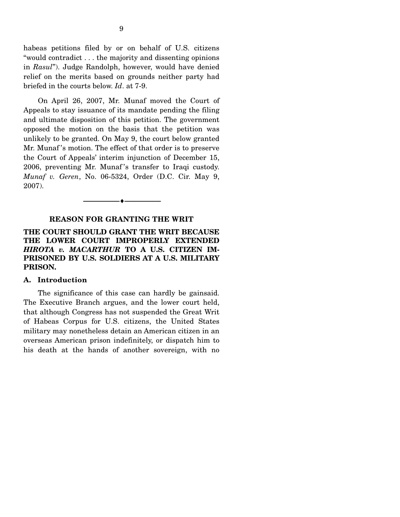habeas petitions filed by or on behalf of U.S. citizens "would contradict . . . the majority and dissenting opinions in *Rasul*"). Judge Randolph, however, would have denied relief on the merits based on grounds neither party had briefed in the courts below. *Id*. at 7-9.

 On April 26, 2007, Mr. Munaf moved the Court of Appeals to stay issuance of its mandate pending the filing and ultimate disposition of this petition. The government opposed the motion on the basis that the petition was unlikely to be granted. On May 9, the court below granted Mr. Munaf 's motion. The effect of that order is to preserve the Court of Appeals' interim injunction of December 15, 2006, preventing Mr. Munaf 's transfer to Iraqi custody. *Munaf v. Geren*, No. 06-5324, Order (D.C. Cir. May 9, 2007).

#### **REASON FOR GRANTING THE WRIT**

--------------------------------- ♦ ---------------------------------

### **THE COURT SHOULD GRANT THE WRIT BECAUSE THE LOWER COURT IMPROPERLY EXTENDED**  *HIROTA v. MACARTHUR* **TO A U.S. CITIZEN IM-PRISONED BY U.S. SOLDIERS AT A U.S. MILITARY PRISON.**

#### **A. Introduction**

The significance of this case can hardly be gainsaid. The Executive Branch argues, and the lower court held, that although Congress has not suspended the Great Writ of Habeas Corpus for U.S. citizens, the United States military may nonetheless detain an American citizen in an overseas American prison indefinitely, or dispatch him to his death at the hands of another sovereign, with no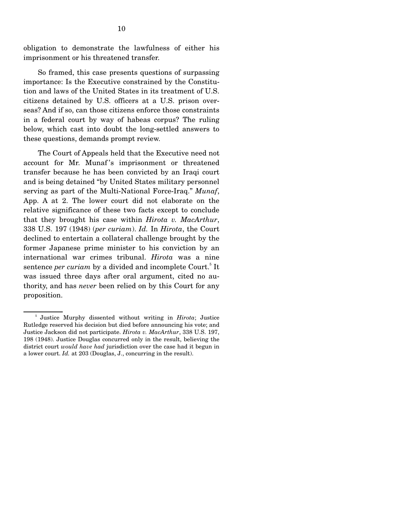obligation to demonstrate the lawfulness of either his imprisonment or his threatened transfer.

 So framed, this case presents questions of surpassing importance: Is the Executive constrained by the Constitution and laws of the United States in its treatment of U.S. citizens detained by U.S. officers at a U.S. prison overseas? And if so, can those citizens enforce those constraints in a federal court by way of habeas corpus? The ruling below, which cast into doubt the long-settled answers to these questions, demands prompt review.

 The Court of Appeals held that the Executive need not account for Mr. Munaf's imprisonment or threatened transfer because he has been convicted by an Iraqi court and is being detained "by United States military personnel serving as part of the Multi-National Force-Iraq." *Munaf*, App. A at 2. The lower court did not elaborate on the relative significance of these two facts except to conclude that they brought his case within *Hirota v. MacArthur*, 338 U.S. 197 (1948) (*per curiam*). *Id.* In *Hirota*, the Court declined to entertain a collateral challenge brought by the former Japanese prime minister to his conviction by an international war crimes tribunal. *Hirota* was a nine sentence *per curiam* by a divided and incomplete Court.<sup>5</sup> It was issued three days after oral argument, cited no authority, and has *never* been relied on by this Court for any proposition.

<sup>&</sup>lt;sup>5</sup> Justice Murphy dissented without writing in *Hirota*; Justice Rutledge reserved his decision but died before announcing his vote; and Justice Jackson did not participate. *Hirota v. MacArthur*, 338 U.S. 197, 198 (1948). Justice Douglas concurred only in the result, believing the district court *would have had* jurisdiction over the case had it begun in a lower court. *Id.* at 203 (Douglas, J., concurring in the result).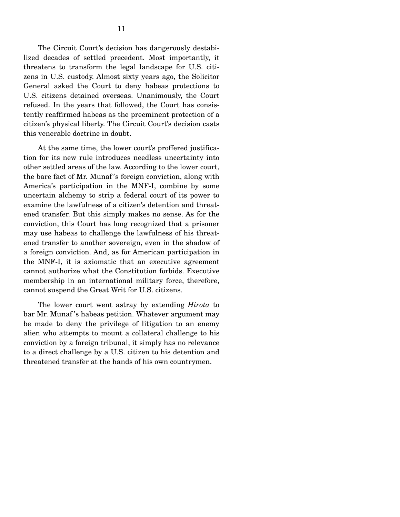The Circuit Court's decision has dangerously destabilized decades of settled precedent. Most importantly, it threatens to transform the legal landscape for U.S. citizens in U.S. custody. Almost sixty years ago, the Solicitor General asked the Court to deny habeas protections to U.S. citizens detained overseas. Unanimously, the Court refused. In the years that followed, the Court has consistently reaffirmed habeas as the preeminent protection of a citizen's physical liberty. The Circuit Court's decision casts this venerable doctrine in doubt.

 At the same time, the lower court's proffered justification for its new rule introduces needless uncertainty into other settled areas of the law. According to the lower court, the bare fact of Mr. Munaf 's foreign conviction, along with America's participation in the MNF-I, combine by some uncertain alchemy to strip a federal court of its power to examine the lawfulness of a citizen's detention and threatened transfer. But this simply makes no sense. As for the conviction, this Court has long recognized that a prisoner may use habeas to challenge the lawfulness of his threatened transfer to another sovereign, even in the shadow of a foreign conviction. And, as for American participation in the MNF-I, it is axiomatic that an executive agreement cannot authorize what the Constitution forbids. Executive membership in an international military force, therefore, cannot suspend the Great Writ for U.S. citizens.

 The lower court went astray by extending *Hirota* to bar Mr. Munaf 's habeas petition. Whatever argument may be made to deny the privilege of litigation to an enemy alien who attempts to mount a collateral challenge to his conviction by a foreign tribunal, it simply has no relevance to a direct challenge by a U.S. citizen to his detention and threatened transfer at the hands of his own countrymen.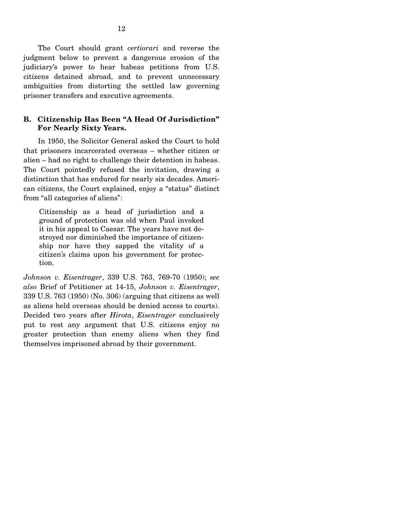The Court should grant *certiorari* and reverse the judgment below to prevent a dangerous erosion of the judiciary's power to hear habeas petitions from U.S. citizens detained abroad, and to prevent unnecessary ambiguities from distorting the settled law governing prisoner transfers and executive agreements.

### **B. Citizenship Has Been "A Head Of Jurisdiction" For Nearly Sixty Years.**

In 1950, the Solicitor General asked the Court to hold that prisoners incarcerated overseas – whether citizen or alien – had no right to challenge their detention in habeas. The Court pointedly refused the invitation, drawing a distinction that has endured for nearly six decades. American citizens, the Court explained, enjoy a "status" distinct from "all categories of aliens":

Citizenship as a head of jurisdiction and a ground of protection was old when Paul invoked it in his appeal to Caesar. The years have not destroyed nor diminished the importance of citizenship nor have they sapped the vitality of a citizen's claims upon his government for protection.

*Johnson v. Eisentrager*, 339 U.S. 763, 769-70 (1950); *see also* Brief of Petitioner at 14-15, *Johnson v. Eisentrager*, 339 U.S. 763 (1950) (No. 306) (arguing that citizens as well as aliens held overseas should be denied access to courts). Decided two years after *Hirota*, *Eisentrager* conclusively put to rest any argument that U.S. citizens enjoy no greater protection than enemy aliens when they find themselves imprisoned abroad by their government.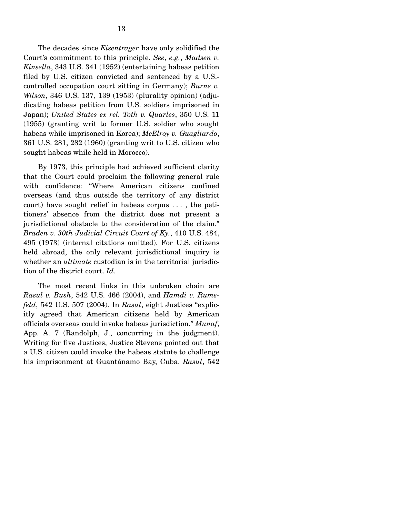The decades since *Eisentrager* have only solidified the Court's commitment to this principle. *See*, *e.g.*, *Madsen v. Kinsella*, 343 U.S. 341 (1952) (entertaining habeas petition filed by U.S. citizen convicted and sentenced by a U.S. controlled occupation court sitting in Germany); *Burns v. Wilson*, 346 U.S. 137, 139 (1953) (plurality opinion) (adjudicating habeas petition from U.S. soldiers imprisoned in Japan); *United States ex rel. Toth v. Quarles*, 350 U.S. 11 (1955) (granting writ to former U.S. soldier who sought habeas while imprisoned in Korea); *McElroy v. Guagliardo*, 361 U.S. 281, 282 (1960) (granting writ to U.S. citizen who sought habeas while held in Morocco).

 By 1973, this principle had achieved sufficient clarity that the Court could proclaim the following general rule with confidence: "Where American citizens confined overseas (and thus outside the territory of any district court) have sought relief in habeas corpus . . . , the petitioners' absence from the district does not present a jurisdictional obstacle to the consideration of the claim." *Braden v. 30th Judicial Circuit Court of Ky.*, 410 U.S. 484, 495 (1973) (internal citations omitted). For U.S. citizens held abroad, the only relevant jurisdictional inquiry is whether an *ultimate* custodian is in the territorial jurisdiction of the district court. *Id.*

 The most recent links in this unbroken chain are *Rasul v. Bush*, 542 U.S. 466 (2004), and *Hamdi v. Rumsfeld*, 542 U.S. 507 (2004). In *Rasul*, eight Justices "explicitly agreed that American citizens held by American officials overseas could invoke habeas jurisdiction." *Munaf*, App. A. 7 (Randolph, J., concurring in the judgment). Writing for five Justices, Justice Stevens pointed out that a U.S. citizen could invoke the habeas statute to challenge his imprisonment at Guantánamo Bay, Cuba. *Rasul*, 542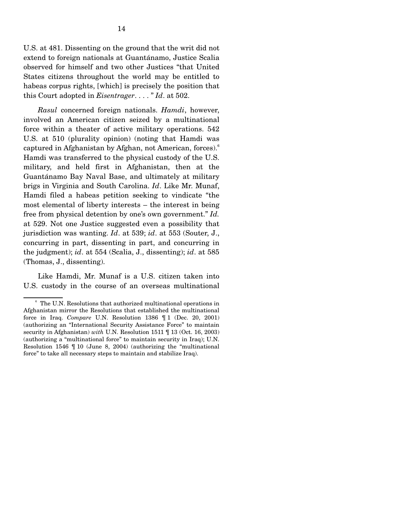U.S. at 481. Dissenting on the ground that the writ did not extend to foreign nationals at Guantánamo, Justice Scalia observed for himself and two other Justices "that United States citizens throughout the world may be entitled to habeas corpus rights, [which] is precisely the position that this Court adopted in *Eisentrager*. . . . " *Id*. at 502.

 *Rasul* concerned foreign nationals. *Hamdi*, however, involved an American citizen seized by a multinational force within a theater of active military operations. 542 U.S. at 510 (plurality opinion) (noting that Hamdi was captured in Afghanistan by Afghan, not American, forces).<sup>6</sup> Hamdi was transferred to the physical custody of the U.S. military, and held first in Afghanistan, then at the Guantánamo Bay Naval Base, and ultimately at military brigs in Virginia and South Carolina. *Id*. Like Mr. Munaf, Hamdi filed a habeas petition seeking to vindicate "the most elemental of liberty interests – the interest in being free from physical detention by one's own government." *Id.*  at 529. Not one Justice suggested even a possibility that jurisdiction was wanting. *Id*. at 539; *id*. at 553 (Souter, J., concurring in part, dissenting in part, and concurring in the judgment); *id*. at 554 (Scalia, J., dissenting); *id*. at 585 (Thomas, J., dissenting).

Like Hamdi, Mr. Munaf is a U.S. citizen taken into U.S. custody in the course of an overseas multinational

<sup>&</sup>lt;sup>6</sup> The U.N. Resolutions that authorized multinational operations in Afghanistan mirror the Resolutions that established the multinational force in Iraq. *Compare* U.N. Resolution 1386 ¶ 1 (Dec. 20, 2001) (authorizing an "International Security Assistance Force" to maintain security in Afghanistan) *with* U.N. Resolution 1511 ¶ 13 (Oct. 16, 2003) (authorizing a "multinational force" to maintain security in Iraq); U.N. Resolution 1546 ¶ 10 (June 8, 2004) (authorizing the "multinational force" to take all necessary steps to maintain and stabilize Iraq).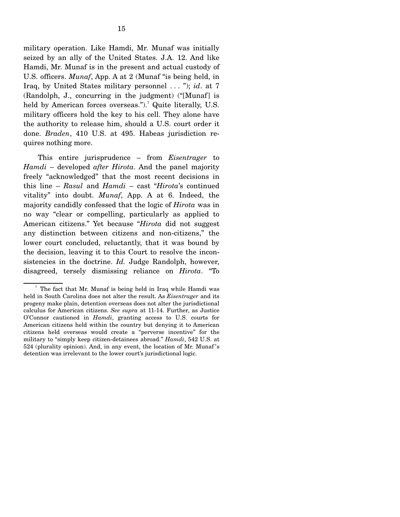military operation. Like Hamdi, Mr. Munaf was initially seized by an ally of the United States. J.A. 12. And like Hamdi, Mr. Munaf is in the present and actual custody of U.S. officers. *Munaf*, App. A at 2 (Munaf "is being held, in Iraq, by United States military personnel . . . "); *id*. at 7 (Randolph, J., concurring in the judgment) ("[Munaf] is

held by American forces overseas.").<sup>7</sup> Quite literally, U.S. military officers hold the key to his cell. They alone have the authority to release him, should a U.S. court order it done. *Braden*, 410 U.S. at 495. Habeas jurisdiction requires nothing more.

 This entire jurisprudence – from *Eisentrager* to *Hamdi* – developed *after Hirota*. And the panel majority freely "acknowledged" that the most recent decisions in this line – *Rasul* and *Hamdi* – cast "*Hirota*'s continued vitality" into doubt. *Munaf*, App. A at 6. Indeed, the majority candidly confessed that the logic of *Hirota* was in no way "clear or compelling, particularly as applied to American citizens." Yet because "*Hirota* did not suggest any distinction between citizens and non-citizens," the lower court concluded, reluctantly, that it was bound by the decision, leaving it to this Court to resolve the inconsistencies in the doctrine. *Id.* Judge Randolph, however, disagreed, tersely dismissing reliance on *Hirota*. "To

<sup>7</sup> The fact that Mr. Munaf is being held in Iraq while Hamdi was held in South Carolina does not alter the result. As *Eisentrager* and its progeny make plain, detention overseas does not alter the jurisdictional calculus for American citizens. *See supra* at 11-14. Further, as Justice O'Connor cautioned in *Hamdi*, granting access to U.S. courts for American citizens held within the country but denying it to American citizens held overseas would create a "perverse incentive" for the military to "simply keep citizen-detainees abroad." *Hamdi*, 542 U.S. at 524 (plurality opinion). And, in any event, the location of Mr. Munaf 's detention was irrelevant to the lower court's jurisdictional logic.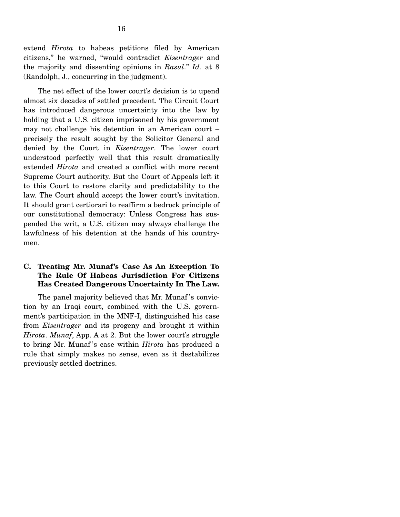extend *Hirota* to habeas petitions filed by American citizens," he warned, "would contradict *Eisentrager* and the majority and dissenting opinions in *Rasul*." *Id.* at 8 (Randolph, J., concurring in the judgment).

 The net effect of the lower court's decision is to upend almost six decades of settled precedent. The Circuit Court has introduced dangerous uncertainty into the law by holding that a U.S. citizen imprisoned by his government may not challenge his detention in an American court – precisely the result sought by the Solicitor General and denied by the Court in *Eisentrager*. The lower court understood perfectly well that this result dramatically extended *Hirota* and created a conflict with more recent Supreme Court authority. But the Court of Appeals left it to this Court to restore clarity and predictability to the law. The Court should accept the lower court's invitation. It should grant certiorari to reaffirm a bedrock principle of our constitutional democracy: Unless Congress has suspended the writ, a U.S. citizen may always challenge the lawfulness of his detention at the hands of his countrymen.

### **C. Treating Mr. Munaf's Case As An Exception To The Rule Of Habeas Jurisdiction For Citizens Has Created Dangerous Uncertainty In The Law.**

The panel majority believed that Mr. Munaf's conviction by an Iraqi court, combined with the U.S. government's participation in the MNF-I, distinguished his case from *Eisentrager* and its progeny and brought it within *Hirota*. *Munaf*, App. A at 2. But the lower court's struggle to bring Mr. Munaf 's case within *Hirota* has produced a rule that simply makes no sense, even as it destabilizes previously settled doctrines.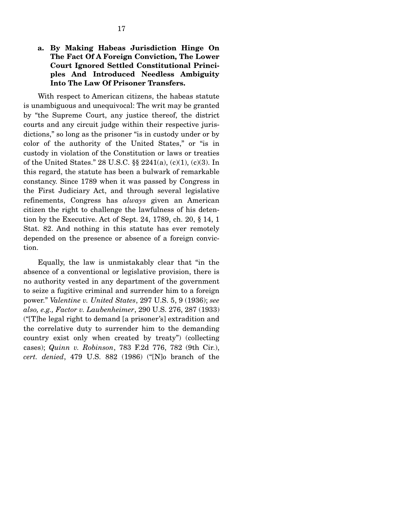### **a. By Making Habeas Jurisdiction Hinge On The Fact Of A Foreign Conviction, The Lower Court Ignored Settled Constitutional Principles And Introduced Needless Ambiguity Into The Law Of Prisoner Transfers.**

With respect to American citizens, the habeas statute is unambiguous and unequivocal: The writ may be granted by "the Supreme Court, any justice thereof, the district courts and any circuit judge within their respective jurisdictions," so long as the prisoner "is in custody under or by color of the authority of the United States," or "is in custody in violation of the Constitution or laws or treaties of the United States." 28 U.S.C. §§ 2241(a), (c)(1), (c)(3). In this regard, the statute has been a bulwark of remarkable constancy. Since 1789 when it was passed by Congress in the First Judiciary Act, and through several legislative refinements, Congress has *always* given an American citizen the right to challenge the lawfulness of his detention by the Executive. Act of Sept. 24, 1789, ch. 20, § 14, 1 Stat. 82. And nothing in this statute has ever remotely depended on the presence or absence of a foreign conviction.

 Equally, the law is unmistakably clear that "in the absence of a conventional or legislative provision, there is no authority vested in any department of the government to seize a fugitive criminal and surrender him to a foreign power." *Valentine v. United States*, 297 U.S. 5, 9 (1936); *see also, e.g., Factor v. Laubenheimer*, 290 U.S. 276, 287 (1933) ("[T]he legal right to demand [a prisoner's] extradition and the correlative duty to surrender him to the demanding country exist only when created by treaty") (collecting cases); *Quinn v. Robinson*, 783 F.2d 776, 782 (9th Cir.), *cert. denied*, 479 U.S. 882 (1986) ("[N]o branch of the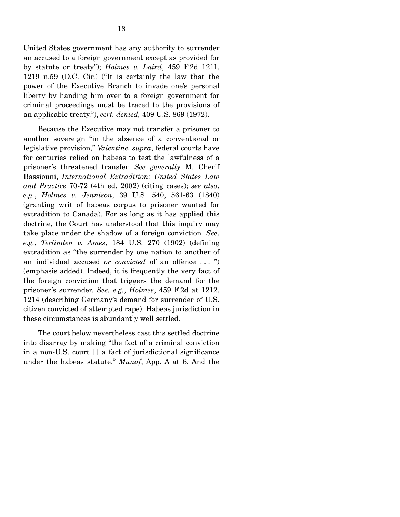United States government has any authority to surrender an accused to a foreign government except as provided for by statute or treaty"); *Holmes v. Laird*, 459 F.2d 1211, 1219 n.59 (D.C. Cir.) ("It is certainly the law that the power of the Executive Branch to invade one's personal liberty by handing him over to a foreign government for criminal proceedings must be traced to the provisions of an applicable treaty."), *cert. denied,* 409 U.S. 869 (1972).

 Because the Executive may not transfer a prisoner to another sovereign "in the absence of a conventional or legislative provision," *Valentine, supra*, federal courts have for centuries relied on habeas to test the lawfulness of a prisoner's threatened transfer. *See generally* M. Cherif Bassiouni, *International Extradition: United States Law and Practice* 70-72 (4th ed. 2002) (citing cases); *see also*, *e.g.*, *Holmes v. Jennison*, 39 U.S. 540, 561-63 (1840) (granting writ of habeas corpus to prisoner wanted for extradition to Canada). For as long as it has applied this doctrine, the Court has understood that this inquiry may take place under the shadow of a foreign conviction. *See*, *e.g.*, *Terlinden v. Ames*, 184 U.S. 270 (1902) (defining extradition as "the surrender by one nation to another of an individual accused *or convicted* of an offence . . . ") (emphasis added). Indeed, it is frequently the very fact of the foreign conviction that triggers the demand for the prisoner's surrender. *See, e.g.*, *Holmes*, 459 F.2d at 1212, 1214 (describing Germany's demand for surrender of U.S. citizen convicted of attempted rape). Habeas jurisdiction in these circumstances is abundantly well settled.

 The court below nevertheless cast this settled doctrine into disarray by making "the fact of a criminal conviction in a non-U.S. court [ ] a fact of jurisdictional significance under the habeas statute." *Munaf*, App. A at 6. And the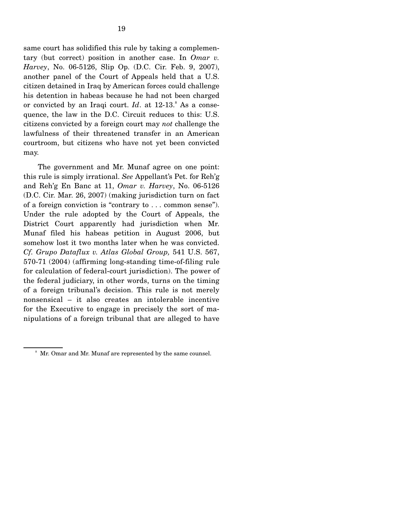same court has solidified this rule by taking a complementary (but correct) position in another case. In *Omar v. Harvey*, No. 06-5126, Slip Op. (D.C. Cir. Feb. 9, 2007), another panel of the Court of Appeals held that a U.S. citizen detained in Iraq by American forces could challenge his detention in habeas because he had not been charged or convicted by an Iraqi court. *Id.* at 12-13. As a consequence, the law in the D.C. Circuit reduces to this: U.S. citizens convicted by a foreign court may *not* challenge the lawfulness of their threatened transfer in an American courtroom, but citizens who have not yet been convicted may.

 The government and Mr. Munaf agree on one point: this rule is simply irrational. *See* Appellant's Pet. for Reh'g and Reh'g En Banc at 11, *Omar v. Harvey*, No. 06-5126 (D.C. Cir. Mar. 26, 2007) (making jurisdiction turn on fact of a foreign conviction is "contrary to . . . common sense"). Under the rule adopted by the Court of Appeals, the District Court apparently had jurisdiction when Mr. Munaf filed his habeas petition in August 2006, but somehow lost it two months later when he was convicted. *Cf. Grupo Dataflux v. Atlas Global Group,* 541 U.S. 567, 570-71 (2004) (affirming long-standing time-of-filing rule for calculation of federal-court jurisdiction). The power of the federal judiciary, in other words, turns on the timing of a foreign tribunal's decision. This rule is not merely nonsensical – it also creates an intolerable incentive for the Executive to engage in precisely the sort of manipulations of a foreign tribunal that are alleged to have

<sup>&</sup>lt;sup>8</sup> Mr. Omar and Mr. Munaf are represented by the same counsel.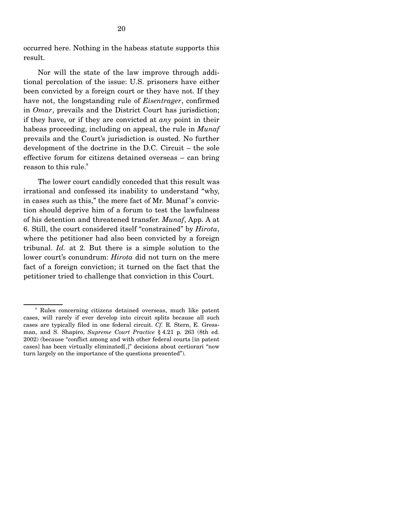occurred here. Nothing in the habeas statute supports this result.

 Nor will the state of the law improve through additional percolation of the issue: U.S. prisoners have either been convicted by a foreign court or they have not. If they have not, the longstanding rule of *Eisentrager*, confirmed in *Omar*, prevails and the District Court has jurisdiction; if they have, or if they are convicted at *any* point in their habeas proceeding, including on appeal, the rule in *Munaf*  prevails and the Court's jurisdiction is ousted. No further development of the doctrine in the D.C. Circuit – the sole effective forum for citizens detained overseas – can bring reason to this rule.<sup>9</sup>

 The lower court candidly conceded that this result was irrational and confessed its inability to understand "why, in cases such as this," the mere fact of Mr. Munaf 's conviction should deprive him of a forum to test the lawfulness of his detention and threatened transfer. *Munaf*, App. A at 6. Still, the court considered itself "constrained" by *Hirota*, where the petitioner had also been convicted by a foreign tribunal. *Id.* at 2. But there is a simple solution to the lower court's conundrum: *Hirota* did not turn on the mere fact of a foreign conviction; it turned on the fact that the petitioner tried to challenge that conviction in this Court.

<sup>9</sup> Rules concerning citizens detained overseas, much like patent cases, will rarely if ever develop into circuit splits because all such cases are typically filed in one federal circuit. *Cf.* R. Stern, E. Gressman, and S. Shapiro, *Supreme Court Practice* § 4.21 p. 263 (8th ed. 2002) (because "conflict among and with other federal courts [in patent cases] has been virtually eliminated[,]" decisions about certiorari "now turn largely on the importance of the questions presented").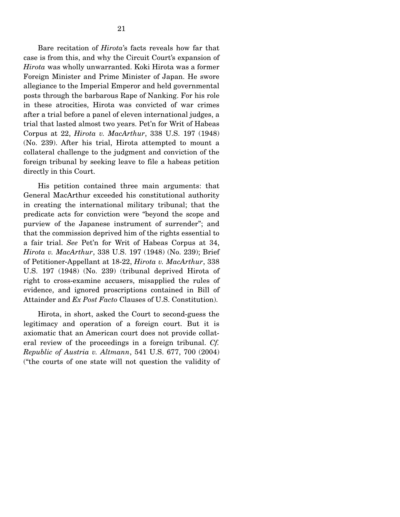Bare recitation of *Hirota*'s facts reveals how far that case is from this, and why the Circuit Court's expansion of *Hirota* was wholly unwarranted. Koki Hirota was a former Foreign Minister and Prime Minister of Japan. He swore allegiance to the Imperial Emperor and held governmental posts through the barbarous Rape of Nanking. For his role in these atrocities, Hirota was convicted of war crimes after a trial before a panel of eleven international judges, a

trial that lasted almost two years. Pet'n for Writ of Habeas Corpus at 22, *Hirota v. MacArthur*, 338 U.S. 197 (1948) (No. 239). After his trial, Hirota attempted to mount a collateral challenge to the judgment and conviction of the foreign tribunal by seeking leave to file a habeas petition directly in this Court.

 His petition contained three main arguments: that General MacArthur exceeded his constitutional authority in creating the international military tribunal; that the predicate acts for conviction were "beyond the scope and purview of the Japanese instrument of surrender"; and that the commission deprived him of the rights essential to a fair trial. *See* Pet'n for Writ of Habeas Corpus at 34, *Hirota v. MacArthur*, 338 U.S. 197 (1948) (No. 239); Brief of Petitioner-Appellant at 18-22, *Hirota v. MacArthur*, 338 U.S. 197 (1948) (No. 239) (tribunal deprived Hirota of right to cross-examine accusers, misapplied the rules of evidence, and ignored proscriptions contained in Bill of Attainder and *Ex Post Facto* Clauses of U.S. Constitution).

 Hirota, in short, asked the Court to second-guess the legitimacy and operation of a foreign court. But it is axiomatic that an American court does not provide collateral review of the proceedings in a foreign tribunal. *Cf. Republic of Austria v. Altmann*, 541 U.S. 677, 700 (2004) ("the courts of one state will not question the validity of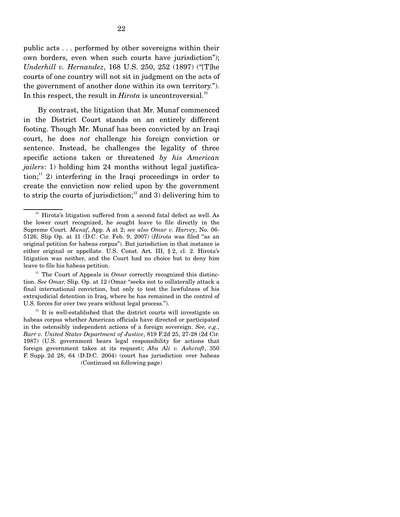22

public acts . . . performed by other sovereigns within their own borders, even when such courts have jurisdiction"); *Underhill v. Hernandez*, 168 U.S. 250, 252 (1897) ("[T]he courts of one country will not sit in judgment on the acts of the government of another done within its own territory."). In this respect, the result in *Hirota* is uncontroversial.<sup>10</sup>

 By contrast, the litigation that Mr. Munaf commenced in the District Court stands on an entirely different footing. Though Mr. Munaf has been convicted by an Iraqi court, he does *not* challenge his foreign conviction or sentence. Instead, he challenges the legality of three specific actions taken or threatened *by his American jailers*: 1) holding him 24 months without legal justifica- $\chi$  tion;<sup>11</sup> 2) interfering in the Iraqi proceedings in order to create the conviction now relied upon by the government to strip the courts of jurisdiction;<sup>12</sup> and 3) delivering him to

<sup>&</sup>lt;sup>10</sup> Hirota's litigation suffered from a second fatal defect as well. As the lower court recognized, he sought leave to file directly in the Supreme Court. *Munaf*, App. A at 2; *see also Omar v. Harvey*, No. 06- 5126, Slip Op. at 11 (D.C. Cir. Feb. 9, 2007) (*Hirota* was filed "as an original petition for habeas corpus"). But jurisdiction in that instance is either original or appellate. U.S. Const. Art. III, § 2, cl. 2. Hirota's litigation was neither, and the Court had no choice but to deny him leave to file his habeas petition.

<sup>&</sup>lt;sup>11</sup> The Court of Appeals in *Omar* correctly recognized this distinction. *See Omar,* Slip. Op. at 12 (Omar "seeks not to collaterally attack a final international conviction, but only to test the lawfulness of his extrajudicial detention in Iraq, where he has remained in the control of U.S. forces for over two years without legal process.").

 $12$ <sup>12</sup> It is well-established that the district courts will investigate on habeas corpus whether American officials have directed or participated in the ostensibly independent actions of a foreign sovereign. *See, e.g., Barr v. United States Department of Justice*, 819 F.2d 25, 27-28 (2d Cir. 1987) (U.S. government bears legal responsibility for actions that foreign government takes at its request); *Abu Ali v. Ashcroft*, 350 F. Supp. 2d 28, 64 (D.D.C. 2004) (court has jurisdiction over habeas (Continued on following page)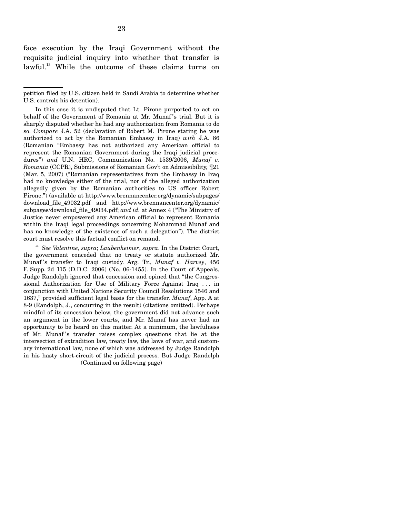face execution by the Iraqi Government without the requisite judicial inquiry into whether that transfer is lawful.<sup>13</sup> While the outcome of these claims turns on

 <sup>13</sup> *See Valentine*, *supra*; *Laubenheimer*, *supra*. In the District Court, the government conceded that no treaty or statute authorized Mr. Munaf 's transfer to Iraqi custody. Arg. Tr., *Munaf v. Harvey*, 456 F. Supp. 2d 115 (D.D.C. 2006) (No. 06-1455). In the Court of Appeals, Judge Randolph ignored that concession and opined that "the Congressional Authorization for Use of Military Force Against Iraq . . . in conjunction with United Nations Security Council Resolutions 1546 and 1637," provided sufficient legal basis for the transfer. *Munaf*, App. A at 8-9 (Randolph, J., concurring in the result) (citations omitted). Perhaps mindful of its concession below, the government did not advance such an argument in the lower courts, and Mr. Munaf has never had an opportunity to be heard on this matter. At a minimum, the lawfulness of Mr. Munaf 's transfer raises complex questions that lie at the intersection of extradition law, treaty law, the laws of war, and customary international law, none of which was addressed by Judge Randolph in his hasty short-circuit of the judicial process. But Judge Randolph

(Continued on following page)

petition filed by U.S. citizen held in Saudi Arabia to determine whether U.S. controls his detention).

In this case it is undisputed that Lt. Pirone purported to act on behalf of the Government of Romania at Mr. Munaf 's trial. But it is sharply disputed whether he had any authorization from Romania to do so. *Compare* J.A. 52 (declaration of Robert M. Pirone stating he was authorized to act by the Romanian Embassy in Iraq) *with* J.A. 86 (Romanian "Embassy has not authorized any American official to represent the Romanian Government during the Iraqi judicial procedures") *and* U.N. HRC, Communication No. 1539/2006, *Munaf v. Romania* (CCPR), Submissions of Romanian Gov't on Admissibility, ¶21 (Mar. 5, 2007) ("Romanian representatives from the Embassy in Iraq had no knowledge either of the trial, nor of the alleged authorization allegedly given by the Romanian authorities to US officer Robert Pirone.") (available at http://www.brennancenter.org/dynamic/subpages/ download\_file\_49032.pdf and http://www.brennancenter.org/dynamic/ subpages/download\_file\_49034.pdf; *and id.* at Annex 4 ("The Ministry of Justice never empowered any American official to represent Romania within the Iraqi legal proceedings concerning Mohammad Munaf and has no knowledge of the existence of such a delegation"). The district court must resolve this factual conflict on remand.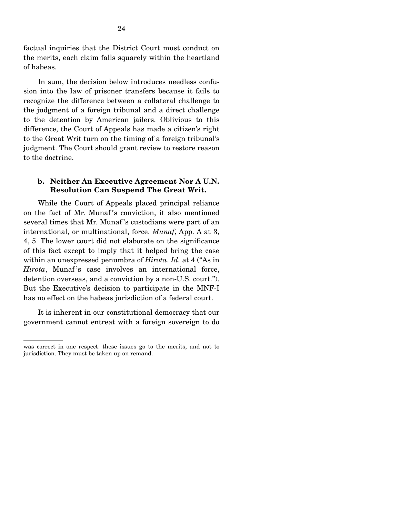factual inquiries that the District Court must conduct on the merits, each claim falls squarely within the heartland of habeas.

 In sum, the decision below introduces needless confusion into the law of prisoner transfers because it fails to recognize the difference between a collateral challenge to the judgment of a foreign tribunal and a direct challenge to the detention by American jailers. Oblivious to this difference, the Court of Appeals has made a citizen's right to the Great Writ turn on the timing of a foreign tribunal's judgment. The Court should grant review to restore reason to the doctrine.

#### **b. Neither An Executive Agreement Nor A U.N. Resolution Can Suspend The Great Writ.**

While the Court of Appeals placed principal reliance on the fact of Mr. Munaf 's conviction, it also mentioned several times that Mr. Munaf 's custodians were part of an international, or multinational, force. *Munaf*, App. A at 3, 4, 5. The lower court did not elaborate on the significance of this fact except to imply that it helped bring the case within an unexpressed penumbra of *Hirota*. *Id.* at 4 ("As in *Hirota*, Munaf's case involves an international force, detention overseas, and a conviction by a non-U.S. court."). But the Executive's decision to participate in the MNF-I has no effect on the habeas jurisdiction of a federal court.

 It is inherent in our constitutional democracy that our government cannot entreat with a foreign sovereign to do

was correct in one respect: these issues go to the merits, and not to jurisdiction. They must be taken up on remand.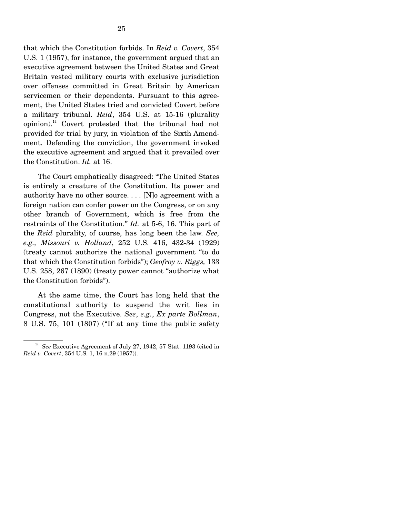that which the Constitution forbids. In *Reid v. Covert*, 354 U.S. 1 (1957), for instance, the government argued that an executive agreement between the United States and Great Britain vested military courts with exclusive jurisdiction over offenses committed in Great Britain by American servicemen or their dependents. Pursuant to this agreement, the United States tried and convicted Covert before a military tribunal. *Reid*, 354 U.S. at 15-16 (plurality opinion).14 Covert protested that the tribunal had not provided for trial by jury, in violation of the Sixth Amendment. Defending the conviction, the government invoked the executive agreement and argued that it prevailed over the Constitution. *Id.* at 16.

 The Court emphatically disagreed: "The United States is entirely a creature of the Constitution. Its power and authority have no other source. . . . [N]o agreement with a foreign nation can confer power on the Congress, or on any other branch of Government, which is free from the restraints of the Constitution." *Id.* at 5-6, 16. This part of the *Reid* plurality, of course, has long been the law. *See, e.g., Missouri v. Holland*, 252 U.S. 416, 432-34 (1929) (treaty cannot authorize the national government "to do that which the Constitution forbids"); *Geofroy v. Riggs,* 133 U.S. 258, 267 (1890) (treaty power cannot "authorize what the Constitution forbids").

 At the same time, the Court has long held that the constitutional authority to suspend the writ lies in Congress, not the Executive. *See*, *e.g.*, *Ex parte Bollman*, 8 U.S. 75, 101 (1807) ("If at any time the public safety

<sup>&</sup>lt;sup>14</sup> See Executive Agreement of July 27, 1942, 57 Stat. 1193 (cited in *Reid v. Covert*, 354 U.S. 1, 16 n.29 (1957)).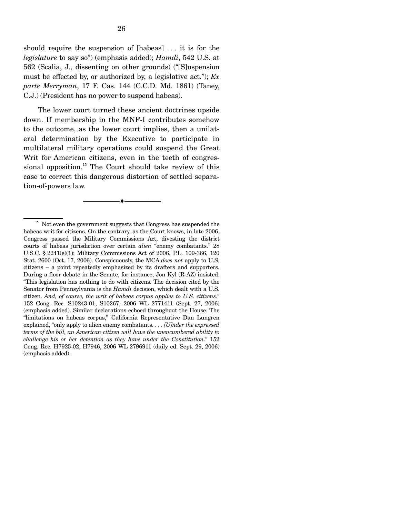should require the suspension of [habeas] . . . it is for the *legislature* to say so") (emphasis added); *Hamdi*, 542 U.S. at 562 (Scalia, J., dissenting on other grounds) ("[S]uspension must be effected by, or authorized by, a legislative act."); *Ex parte Merryman*, 17 F. Cas. 144 (C.C.D. Md. 1861) (Taney, C.J.) (President has no power to suspend habeas).

 The lower court turned these ancient doctrines upside down. If membership in the MNF-I contributes somehow to the outcome, as the lower court implies, then a unilateral determination by the Executive to participate in multilateral military operations could suspend the Great Writ for American citizens, even in the teeth of congressional opposition.<sup>15</sup> The Court should take review of this case to correct this dangerous distortion of settled separation-of-powers law.

--------------------------------- ♦ ---------------------------------

<sup>&</sup>lt;sup>15</sup> Not even the government suggests that Congress has suspended the habeas writ for citizens. On the contrary, as the Court knows, in late 2006, Congress passed the Military Commissions Act, divesting the district courts of habeas jurisdiction over certain *alien* "enemy combatants." 28 U.S.C. § 2241(e)(1); Military Commissions Act of 2006, P.L. 109-366, 120 Stat. 2600 (Oct. 17, 2006). Conspicuously, the MCA *does not* apply to U.S. citizens – a point repeatedly emphasized by its drafters and supporters. During a floor debate in the Senate, for instance, Jon Kyl (R-AZ) insisted: "This legislation has nothing to do with citizens. The decision cited by the Senator from Pennsylvania is the *Hamdi* decision, which dealt with a U.S. citizen. *And, of course, the writ of habeas corpus applies to U.S. citizens*." 152 Cong. Rec. S10243-01, S10267, 2006 WL 2771411 (Sept. 27, 2006) (emphasis added). Similar declarations echoed throughout the House. The "limitations on habeas corpus," California Representative Dan Lungren explained, "only apply to alien enemy combatants. . . . *[U]nder the expressed terms of the bill, an American citizen will have the unencumbered ability to challenge his or her detention as they have under the Constitution*." 152 Cong. Rec. H7925-02, H7946, 2006 WL 2796911 (daily ed. Sept. 29, 2006) (emphasis added).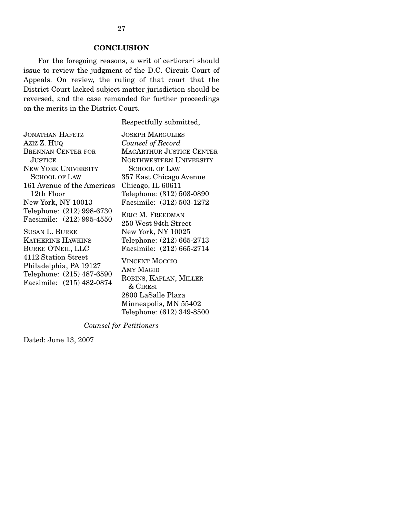### **CONCLUSION**

For the foregoing reasons, a writ of certiorari should issue to review the judgment of the D.C. Circuit Court of Appeals. On review, the ruling of that court that the District Court lacked subject matter jurisdiction should be reversed, and the case remanded for further proceedings on the merits in the District Court.

Respectfully submitted,

Minneapolis, MN 55402 Telephone: (612) 349-8500

| <b>JONATHAN HAFETZ</b>                                 | <b>JOSEPH MARGULIES</b>                  |
|--------------------------------------------------------|------------------------------------------|
| Aziz Z. Huq                                            | Counsel of Record                        |
|                                                        |                                          |
| <b>BRENNAN CENTER FOR</b>                              | <b>MACARTHUR JUSTICE CENTER</b>          |
| <b>JUSTICE</b>                                         | <b>NORTHWESTERN UNIVERSITY</b>           |
| <b>NEW YORK UNIVERSITY</b>                             | <b>SCHOOL OF LAW</b>                     |
| <b>SCHOOL OF LAW</b>                                   | 357 East Chicago Avenue                  |
| 161 Avenue of the Americas                             | Chicago, IL 60611                        |
| 12th Floor                                             | Telephone: (312) 503-0890                |
| New York, NY 10013                                     | Facsimile: (312) 503-1272                |
| Telephone: (212) 998-6730<br>Facsimile: (212) 995-4550 | ERIC M. FREEDMAN<br>250 West 94th Street |
| <b>SUSAN L. BURKE</b>                                  | New York, NY 10025                       |
| <b>KATHERINE HAWKINS</b>                               | Telephone: (212) 665-2713                |
| <b>BURKE O'NEIL, LLC</b>                               | Facsimile: (212) 665-2714                |
| 4112 Station Street                                    |                                          |
| Philadelphia, PA 19127                                 | <b>VINCENT MOCCIO</b>                    |
| Telephone: (215) 487-6590                              | AMY MAGID                                |
|                                                        | ROBINS, KAPLAN, MILLER                   |
| Facsimile: (215) 482-0874                              | $\&$ CIRESI                              |
|                                                        | 2800 LaSalle Plaza                       |

*Counsel for Petitioners* 

Dated: June 13, 2007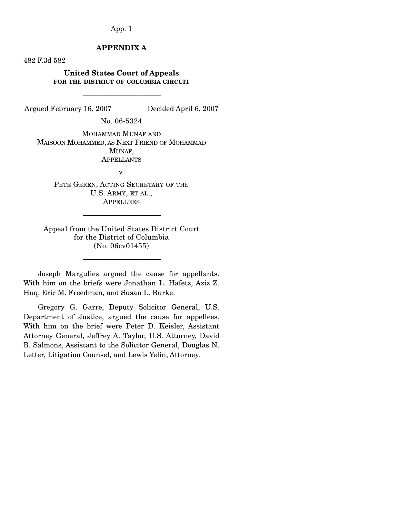## App. 1

# **APPENDIX A**

482 F.3d 582

### **United States Court of Appeals FOR THE DISTRICT OF COLUMBIA CIRCUIT**

-----------------------------------------------------------------------

Argued February 16, 2007 Decided April 6, 2007

No. 06-5324

MOHAMMAD MUNAF AND MAISOON MOHAMMED, AS NEXT FRIEND OF MOHAMMAD MUNAF, **APPELLANTS** 

v.

PETE GEREN, ACTING SECRETARY OF THE U.S. ARMY, ET AL., **APPELLEES** 

Appeal from the United States District Court for the District of Columbia (No. 06cv01455)

-----------------------------------------------------------------------

-----------------------------------------------------------------------

 Joseph Margulies argued the cause for appellants. With him on the briefs were Jonathan L. Hafetz, Aziz Z. Huq, Eric M. Freedman, and Susan L. Burke.

 Gregory G. Garre, Deputy Solicitor General, U.S. Department of Justice, argued the cause for appellees. With him on the brief were Peter D. Keisler, Assistant Attorney General, Jeffrey A. Taylor, U.S. Attorney, David B. Salmons, Assistant to the Solicitor General, Douglas N. Letter, Litigation Counsel, and Lewis Yelin, Attorney.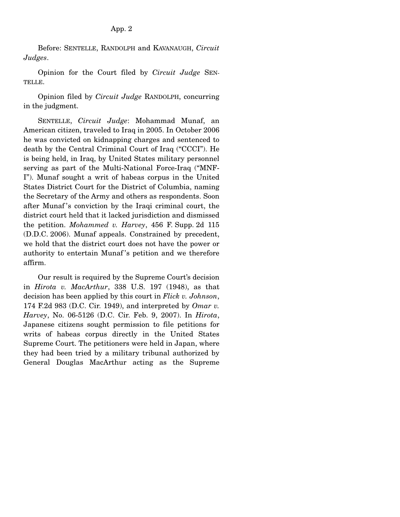Before: SENTELLE, RANDOLPH and KAVANAUGH, *Circuit Judges*.

 Opinion for the Court filed by *Circuit Judge* SEN-TELLE.

 Opinion filed by *Circuit Judge* RANDOLPH, concurring in the judgment.

 SENTELLE, *Circuit Judge*: Mohammad Munaf, an American citizen, traveled to Iraq in 2005. In October 2006 he was convicted on kidnapping charges and sentenced to death by the Central Criminal Court of Iraq ("CCCI"). He is being held, in Iraq, by United States military personnel serving as part of the Multi-National Force-Iraq ("MNF-I"). Munaf sought a writ of habeas corpus in the United States District Court for the District of Columbia, naming the Secretary of the Army and others as respondents. Soon after Munaf 's conviction by the Iraqi criminal court, the district court held that it lacked jurisdiction and dismissed the petition. *Mohammed v. Harvey*, 456 F. Supp. 2d 115 (D.D.C. 2006). Munaf appeals. Constrained by precedent, we hold that the district court does not have the power or authority to entertain Munaf 's petition and we therefore affirm.

 Our result is required by the Supreme Court's decision in *Hirota v. MacArthur*, 338 U.S. 197 (1948), as that decision has been applied by this court in *Flick v. Johnson*, 174 F.2d 983 (D.C. Cir. 1949), and interpreted by *Omar v. Harvey*, No. 06-5126 (D.C. Cir. Feb. 9, 2007). In *Hirota*, Japanese citizens sought permission to file petitions for writs of habeas corpus directly in the United States Supreme Court. The petitioners were held in Japan, where they had been tried by a military tribunal authorized by General Douglas MacArthur acting as the Supreme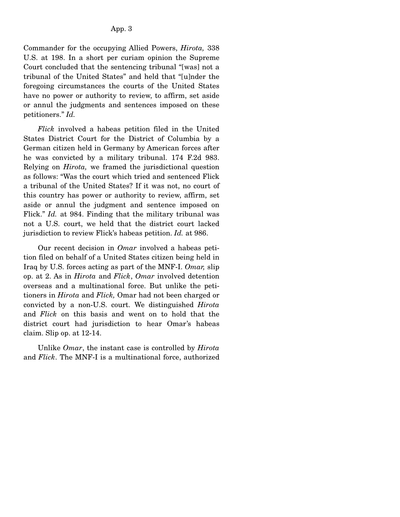Commander for the occupying Allied Powers, *Hirota,* 338 U.S. at 198. In a short per curiam opinion the Supreme Court concluded that the sentencing tribunal "[was] not a tribunal of the United States" and held that "[u]nder the foregoing circumstances the courts of the United States have no power or authority to review, to affirm, set aside or annul the judgments and sentences imposed on these petitioners." *Id.*

 *Flick* involved a habeas petition filed in the United States District Court for the District of Columbia by a German citizen held in Germany by American forces after he was convicted by a military tribunal. 174 F.2d 983. Relying on *Hirota,* we framed the jurisdictional question as follows: "Was the court which tried and sentenced Flick a tribunal of the United States? If it was not, no court of this country has power or authority to review, affirm, set aside or annul the judgment and sentence imposed on Flick." *Id.* at 984. Finding that the military tribunal was not a U.S. court, we held that the district court lacked jurisdiction to review Flick's habeas petition. *Id.* at 986.

 Our recent decision in *Omar* involved a habeas petition filed on behalf of a United States citizen being held in Iraq by U.S. forces acting as part of the MNF-I. *Omar,* slip op. at 2. As in *Hirota* and *Flick*, *Omar* involved detention overseas and a multinational force. But unlike the petitioners in *Hirota* and *Flick,* Omar had not been charged or convicted by a non-U.S. court. We distinguished *Hirota* and *Flick* on this basis and went on to hold that the district court had jurisdiction to hear Omar's habeas claim. Slip op. at 12-14.

 Unlike *Omar*, the instant case is controlled by *Hirota* and *Flick*. The MNF-I is a multinational force, authorized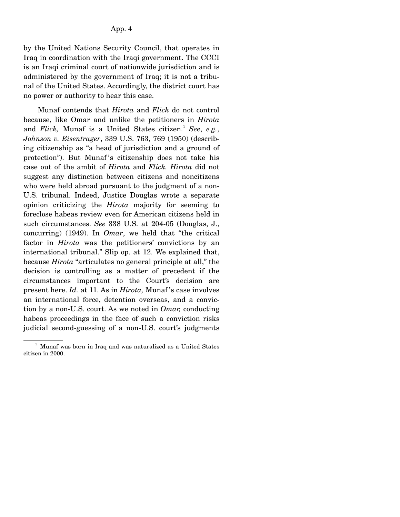by the United Nations Security Council, that operates in Iraq in coordination with the Iraqi government. The CCCI is an Iraqi criminal court of nationwide jurisdiction and is administered by the government of Iraq; it is not a tribunal of the United States. Accordingly, the district court has no power or authority to hear this case.

 Munaf contends that *Hirota* and *Flick* do not control because, like Omar and unlike the petitioners in *Hirota* and *Flick*, Munaf is a United States citizen.<sup>1</sup> See, e.g., *Johnson v. Eisentrager*, 339 U.S. 763, 769 (1950) (describing citizenship as "a head of jurisdiction and a ground of protection"). But Munaf 's citizenship does not take his case out of the ambit of *Hirota* and *Flick. Hirota* did not suggest any distinction between citizens and noncitizens who were held abroad pursuant to the judgment of a non-U.S. tribunal. Indeed, Justice Douglas wrote a separate opinion criticizing the *Hirota* majority for seeming to foreclose habeas review even for American citizens held in such circumstances. *See* 338 U.S. at 204-05 (Douglas, J., concurring) (1949). In *Omar*, we held that "the critical factor in *Hirota* was the petitioners' convictions by an international tribunal." Slip op. at 12. We explained that, because *Hirota* "articulates no general principle at all," the decision is controlling as a matter of precedent if the circumstances important to the Court's decision are present here. *Id.* at 11. As in *Hirota,* Munaf 's case involves an international force, detention overseas, and a conviction by a non-U.S. court. As we noted in *Omar,* conducting habeas proceedings in the face of such a conviction risks judicial second-guessing of a non-U.S. court's judgments

<sup>&</sup>lt;sup>1</sup> Munaf was born in Iraq and was naturalized as a United States citizen in 2000.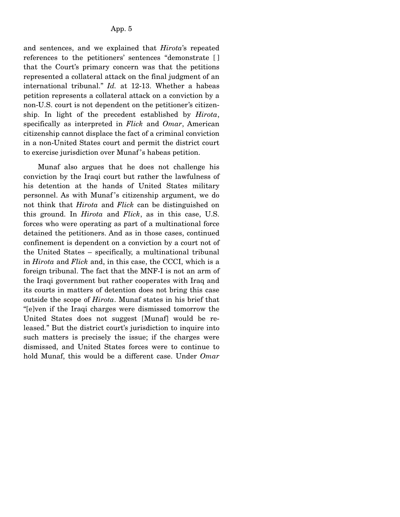and sentences, and we explained that *Hirota*'s repeated references to the petitioners' sentences "demonstrate [ ] that the Court's primary concern was that the petitions represented a collateral attack on the final judgment of an international tribunal." *Id.* at 12-13. Whether a habeas petition represents a collateral attack on a conviction by a non-U.S. court is not dependent on the petitioner's citizenship. In light of the precedent established by *Hirota*, specifically as interpreted in *Flick* and *Omar*, American citizenship cannot displace the fact of a criminal conviction in a non-United States court and permit the district court to exercise jurisdiction over Munaf 's habeas petition.

 Munaf also argues that he does not challenge his conviction by the Iraqi court but rather the lawfulness of his detention at the hands of United States military personnel. As with Munaf 's citizenship argument, we do not think that *Hirota* and *Flick* can be distinguished on this ground. In *Hirota* and *Flick*, as in this case, U.S. forces who were operating as part of a multinational force detained the petitioners. And as in those cases, continued confinement is dependent on a conviction by a court not of the United States – specifically, a multinational tribunal in *Hirota* and *Flick* and, in this case, the CCCI, which is a foreign tribunal. The fact that the MNF-I is not an arm of the Iraqi government but rather cooperates with Iraq and its courts in matters of detention does not bring this case outside the scope of *Hirota*. Munaf states in his brief that "[e]ven if the Iraqi charges were dismissed tomorrow the United States does not suggest [Munaf] would be released." But the district court's jurisdiction to inquire into such matters is precisely the issue; if the charges were dismissed, and United States forces were to continue to hold Munaf, this would be a different case. Under *Omar*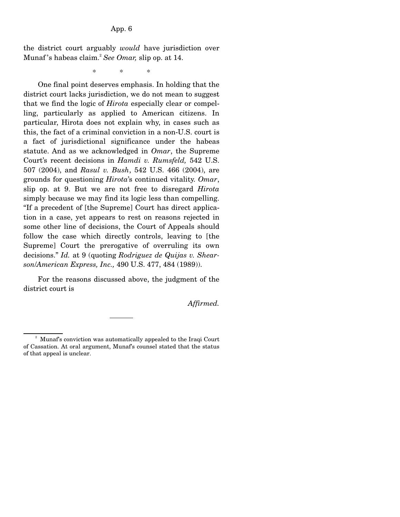the district court arguably *would* have jurisdiction over Munaf 's habeas claim.2 *See Omar,* slip op. at 14.

\* \* \*

 One final point deserves emphasis. In holding that the district court lacks jurisdiction, we do not mean to suggest that we find the logic of *Hirota* especially clear or compelling, particularly as applied to American citizens. In particular, Hirota does not explain why, in cases such as this, the fact of a criminal conviction in a non-U.S. court is a fact of jurisdictional significance under the habeas statute. And as we acknowledged in *Omar*, the Supreme Court's recent decisions in *Hamdi v. Rumsfeld,* 542 U.S. 507 (2004), and *Rasul v. Bush*, 542 U.S. 466 (2004), are grounds for questioning *Hirota*'s continued vitality. *Omar*, slip op. at 9. But we are not free to disregard *Hirota* simply because we may find its logic less than compelling. "If a precedent of [the Supreme] Court has direct application in a case, yet appears to rest on reasons rejected in some other line of decisions, the Court of Appeals should follow the case which directly controls, leaving to [the Supreme] Court the prerogative of overruling its own decisions." *Id.* at 9 (quoting *Rodriguez de Quijas v. Shearson*/*American Express, Inc.,* 490 U.S. 477, 484 (1989)).

 For the reasons discussed above, the judgment of the district court is

*Affirmed.*

<sup>&</sup>lt;sup>2</sup> Munaf's conviction was automatically appealed to the Iraqi Court of Cassation. At oral argument, Munaf's counsel stated that the status of that appeal is unclear.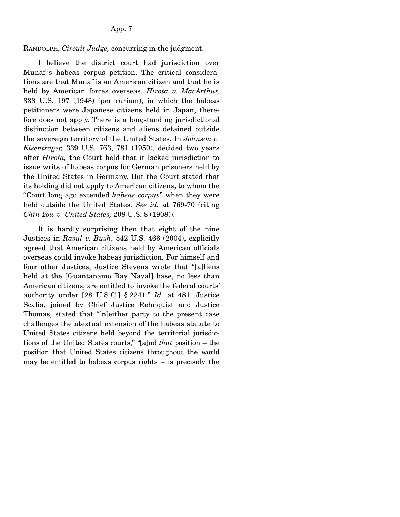#### App. 7

RANDOLPH, *Circuit Judge,* concurring in the judgment.

 I believe the district court had jurisdiction over Munaf's habeas corpus petition. The critical considerations are that Munaf is an American citizen and that he is held by American forces overseas. *Hirota v. MacArthur,* 338 U.S. 197 (1948) (per curiam), in which the habeas petitioners were Japanese citizens held in Japan, therefore does not apply. There is a longstanding jurisdictional distinction between citizens and aliens detained outside the sovereign territory of the United States. In *Johnson v. Eisentrager,* 339 U.S. 763, 781 (1950), decided two years after *Hirota,* the Court held that it lacked jurisdiction to issue writs of habeas corpus for German prisoners held by the United States in Germany. But the Court stated that its holding did not apply to American citizens, to whom the "Court long ago extended *habeas corpus*" when they were held outside the United States. *See id.* at 769-70 (citing *Chin Yow v. United States,* 208 U.S. 8 (1908)).

 It is hardly surprising then that eight of the nine Justices in *Rasul v. Bush*, 542 U.S. 466 (2004), explicitly agreed that American citizens held by American officials overseas could invoke habeas jurisdiction. For himself and four other Justices, Justice Stevens wrote that "[a]liens held at the [Guantanamo Bay Naval] base, no less than American citizens, are entitled to invoke the federal courts' authority under [28 U.S.C.] § 2241." *Id.* at 481. Justice Scalia, joined by Chief Justice Rehnquist and Justice Thomas, stated that "[n]either party to the present case challenges the atextual extension of the habeas statute to United States citizens held beyond the territorial jurisdictions of the United States courts," "[a]nd *that* position – the position that United States citizens throughout the world may be entitled to habeas corpus rights – is precisely the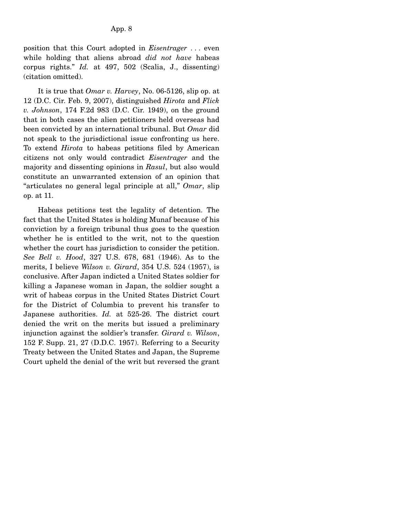position that this Court adopted in *Eisentrager* . . . even while holding that aliens abroad *did not have* habeas corpus rights." *Id.* at 497, 502 (Scalia, J., dissenting) (citation omitted).

 It is true that *Omar v. Harvey*, No. 06-5126, slip op. at 12 (D.C. Cir. Feb. 9, 2007), distinguished *Hirota* and *Flick v. Johnson*, 174 F.2d 983 (D.C. Cir. 1949), on the ground that in both cases the alien petitioners held overseas had been convicted by an international tribunal. But *Omar* did not speak to the jurisdictional issue confronting us here. To extend *Hirota* to habeas petitions filed by American citizens not only would contradict *Eisentrager* and the majority and dissenting opinions in *Rasul*, but also would constitute an unwarranted extension of an opinion that "articulates no general legal principle at all," *Omar*, slip op. at 11.

 Habeas petitions test the legality of detention. The fact that the United States is holding Munaf because of his conviction by a foreign tribunal thus goes to the question whether he is entitled to the writ, not to the question whether the court has jurisdiction to consider the petition. *See Bell v. Hood*, 327 U.S. 678, 681 (1946). As to the merits, I believe *Wilson v. Girard*, 354 U.S. 524 (1957), is conclusive. After Japan indicted a United States soldier for killing a Japanese woman in Japan, the soldier sought a writ of habeas corpus in the United States District Court for the District of Columbia to prevent his transfer to Japanese authorities. *Id.* at 525-26. The district court denied the writ on the merits but issued a preliminary injunction against the soldier's transfer. *Girard v. Wilson*, 152 F. Supp. 21, 27 (D.D.C. 1957). Referring to a Security Treaty between the United States and Japan, the Supreme Court upheld the denial of the writ but reversed the grant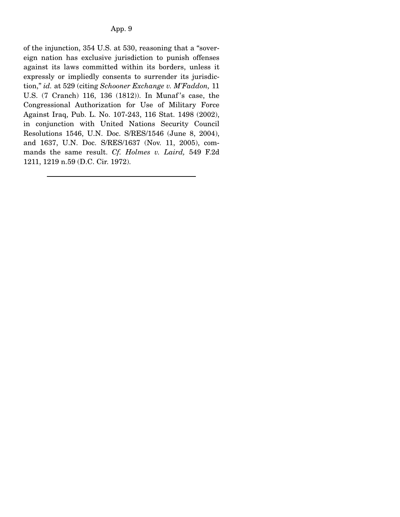of the injunction, 354 U.S. at 530, reasoning that a "sovereign nation has exclusive jurisdiction to punish offenses against its laws committed within its borders, unless it expressly or impliedly consents to surrender its jurisdiction," *id.* at 529 (citing *Schooner Exchange v. M'Faddon,* 11 U.S. (7 Cranch) 116, 136 (1812)). In Munaf 's case, the Congressional Authorization for Use of Military Force Against Iraq, Pub. L. No. 107-243, 116 Stat. 1498 (2002), in conjunction with United Nations Security Council Resolutions 1546, U.N. Doc. S/RES/1546 (June 8, 2004), and 1637, U.N. Doc. S/RES/1637 (Nov. 11, 2005), commands the same result. *Cf. Holmes v. Laird,* 549 F.2d 1211, 1219 n.59 (D.C. Cir. 1972).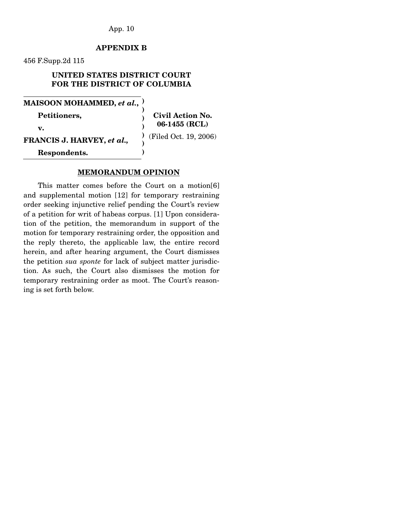App. 10

# **APPENDIX B**

456 F.Supp.2d 115

# **UNITED STATES DISTRICT COURT FOR THE DISTRICT OF COLUMBIA**

**MAISOON MOHAMMED,** *et al.***, )** 

 **Petitioners,** 

 **v.** 

**FRANCIS J. HARVEY,** *et al.,*

**Civil Action No. 06-1455 (RCL)**  (Filed Oct. 19, 2006)

 **Respondents.** 

#### **MEMORANDUM OPINION**

**) ) ) ) ) )** 

This matter comes before the Court on a motion[6] and supplemental motion [12] for temporary restraining order seeking injunctive relief pending the Court's review of a petition for writ of habeas corpus. [1] Upon consideration of the petition, the memorandum in support of the motion for temporary restraining order, the opposition and the reply thereto, the applicable law, the entire record herein, and after hearing argument, the Court dismisses the petition *sua sponte* for lack of subject matter jurisdiction. As such, the Court also dismisses the motion for temporary restraining order as moot. The Court's reasoning is set forth below.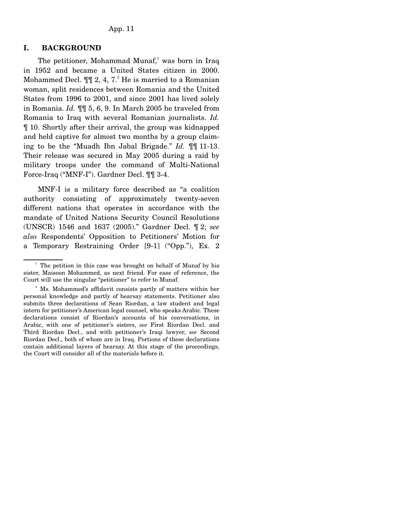### **I. BACKGROUND**

The petitioner, Mohammad Munaf,<sup>1</sup> was born in Iraq in 1952 and became a United States citizen in 2000. Mohammed Decl.  $\P\P$ 2, 4, 7.<sup>2</sup> He is married to a Romanian woman, split residences between Romania and the United States from 1996 to 2001, and since 2001 has lived solely in Romania. *Id.* ¶¶ 5, 6, 9. In March 2005 he traveled from Romania to Iraq with several Romanian journalists. *Id.* ¶ 10. Shortly after their arrival, the group was kidnapped and held captive for almost two months by a group claiming to be the "Muadh Ibn Jabal Brigade." *Id.* ¶¶ 11-13. Their release was secured in May 2005 during a raid by military troops under the command of Multi-National Force-Iraq ("MNF-I"). Gardner Decl. ¶¶ 3-4.

 MNF-I is a military force described as "a coalition authority consisting of approximately twenty-seven different nations that operates in accordance with the mandate of United Nations Security Council Resolutions (UNSCR) 1546 and 1637 (2005)." Gardner Decl. ¶ 2; *see also* Respondents' Opposition to Petitioners' Motion for a Temporary Restraining Order [9-1] ("Opp."), Ex. 2

<sup>&</sup>lt;sup>1</sup> The petition in this case was brought on behalf of Munaf by his sister, Maisoon Mohammed, as next friend. For ease of reference, the Court will use the singular "petitioner" to refer to Munaf.

<sup>&</sup>lt;sup>2</sup> Ms. Mohammed's affidavit consists partly of matters within her personal knowledge and partly of hearsay statements. Petitioner also submits three declarations of Sean Riordan, a law student and legal intern for petitioner's American legal counsel, who speaks Arabic. These declarations consist of Riordan's accounts of his conversations, in Arabic, with one of petitioner's sisters, *see* First Riordan Decl. and Third Riordan Decl., and with petitioner's Iraqi lawyer, *see* Second Riordan Decl., both of whom are in Iraq. Portions of these declarations contain additional layers of hearsay. At this stage of the proceedings, the Court will consider all of the materials before it.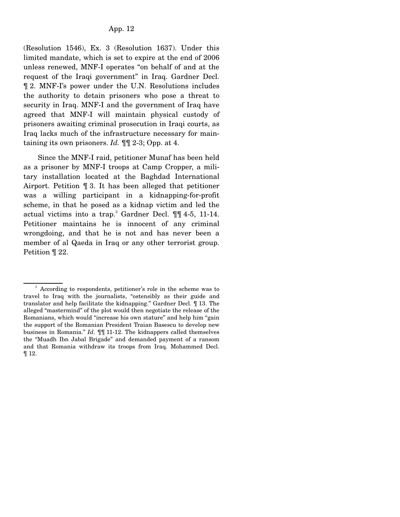(Resolution 1546), Ex. 3 (Resolution 1637). Under this limited mandate, which is set to expire at the end of 2006 unless renewed, MNF-I operates "on behalf of and at the request of the Iraqi government" in Iraq. Gardner Decl. ¶ 2. MNF-I's power under the U.N. Resolutions includes the authority to detain prisoners who pose a threat to security in Iraq. MNF-I and the government of Iraq have agreed that MNF-I will maintain physical custody of prisoners awaiting criminal prosecution in Iraqi courts, as Iraq lacks much of the infrastructure necessary for maintaining its own prisoners. *Id.* ¶¶ 2-3; Opp. at 4.

 Since the MNF-I raid, petitioner Munaf has been held as a prisoner by MNF-I troops at Camp Cropper, a military installation located at the Baghdad International Airport. Petition ¶ 3. It has been alleged that petitioner was a willing participant in a kidnapping-for-profit scheme, in that he posed as a kidnap victim and led the actual victims into a trap.<sup>3</sup> Gardner Decl.  $\P\P$  4-5, 11-14. Petitioner maintains he is innocent of any criminal wrongdoing, and that he is not and has never been a member of al Qaeda in Iraq or any other terrorist group. Petition ¶ 22.

<sup>3</sup> According to respondents, petitioner's role in the scheme was to travel to Iraq with the journalists, "ostensibly as their guide and translator and help facilitate the kidnapping." Gardner Decl. ¶ 13. The alleged "mastermind" of the plot would then negotiate the release of the Romanians, which would "increase his own stature" and help him "gain the support of the Romanian President Traian Basescu to develop new business in Romania." *Id.* ¶¶ 11-12. The kidnappers called themselves the "Muadh Ibn Jabal Brigade" and demanded payment of a ransom and that Romania withdraw its troops from Iraq. Mohammed Decl. ¶ 12.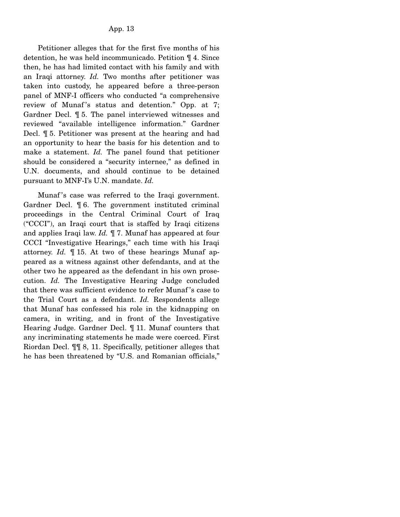Petitioner alleges that for the first five months of his detention, he was held incommunicado. Petition ¶ 4. Since then, he has had limited contact with his family and with an Iraqi attorney. *Id.* Two months after petitioner was taken into custody, he appeared before a three-person panel of MNF-I officers who conducted "a comprehensive review of Munaf's status and detention." Opp. at 7; Gardner Decl. ¶ 5. The panel interviewed witnesses and reviewed "available intelligence information." Gardner Decl. ¶ 5. Petitioner was present at the hearing and had an opportunity to hear the basis for his detention and to make a statement. *Id.* The panel found that petitioner should be considered a "security internee," as defined in U.N. documents, and should continue to be detained pursuant to MNF-I's U.N. mandate. *Id.*

Munaf's case was referred to the Iraqi government. Gardner Decl. ¶ 6. The government instituted criminal proceedings in the Central Criminal Court of Iraq ("CCCI"), an Iraqi court that is staffed by Iraqi citizens and applies Iraqi law. *Id.* ¶ 7. Munaf has appeared at four CCCI "Investigative Hearings," each time with his Iraqi attorney. *Id.* ¶ 15. At two of these hearings Munaf appeared as a witness against other defendants, and at the other two he appeared as the defendant in his own prosecution. *Id.* The Investigative Hearing Judge concluded that there was sufficient evidence to refer Munaf 's case to the Trial Court as a defendant. *Id.* Respondents allege that Munaf has confessed his role in the kidnapping on camera, in writing, and in front of the Investigative Hearing Judge. Gardner Decl. ¶ 11. Munaf counters that any incriminating statements he made were coerced. First Riordan Decl. ¶¶ 8, 11. Specifically, petitioner alleges that he has been threatened by "U.S. and Romanian officials,"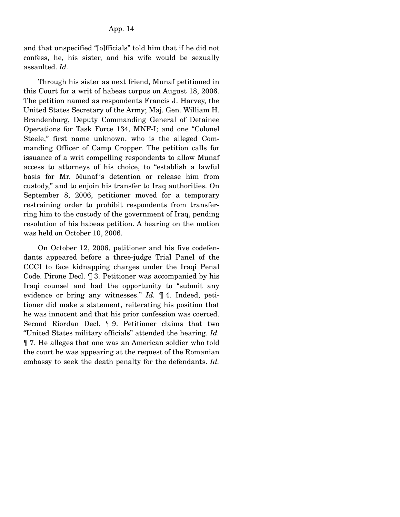and that unspecified "[o]fficials" told him that if he did not confess, he, his sister, and his wife would be sexually assaulted. *Id.*

 Through his sister as next friend, Munaf petitioned in this Court for a writ of habeas corpus on August 18, 2006. The petition named as respondents Francis J. Harvey, the United States Secretary of the Army; Maj. Gen. William H. Brandenburg, Deputy Commanding General of Detainee Operations for Task Force 134, MNF-I; and one "Colonel Steele," first name unknown, who is the alleged Commanding Officer of Camp Cropper. The petition calls for issuance of a writ compelling respondents to allow Munaf access to attorneys of his choice, to "establish a lawful basis for Mr. Munaf 's detention or release him from custody," and to enjoin his transfer to Iraq authorities. On September 8, 2006, petitioner moved for a temporary restraining order to prohibit respondents from transferring him to the custody of the government of Iraq, pending resolution of his habeas petition. A hearing on the motion was held on October 10, 2006.

 On October 12, 2006, petitioner and his five codefendants appeared before a three-judge Trial Panel of the CCCI to face kidnapping charges under the Iraqi Penal Code. Pirone Decl. ¶ 3. Petitioner was accompanied by his Iraqi counsel and had the opportunity to "submit any evidence or bring any witnesses." *Id.* ¶ 4. Indeed, petitioner did make a statement, reiterating his position that he was innocent and that his prior confession was coerced. Second Riordan Decl. ¶ 9. Petitioner claims that two "United States military officials" attended the hearing. *Id.* ¶ 7. He alleges that one was an American soldier who told the court he was appearing at the request of the Romanian embassy to seek the death penalty for the defendants. *Id.*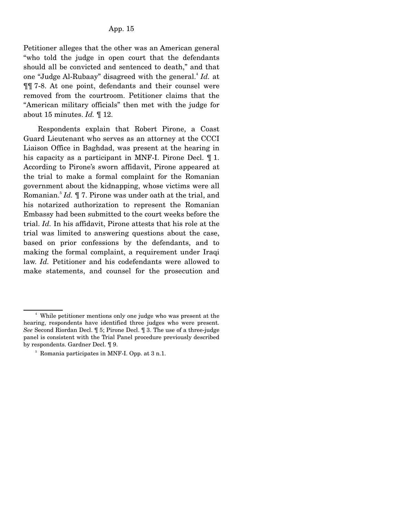Petitioner alleges that the other was an American general "who told the judge in open court that the defendants should all be convicted and sentenced to death," and that one "Judge Al-Rubaay" disagreed with the general.<sup>4</sup> *Id.* at ¶¶ 7-8. At one point, defendants and their counsel were removed from the courtroom. Petitioner claims that the "American military officials" then met with the judge for about 15 minutes. *Id.* ¶ 12.

 Respondents explain that Robert Pirone, a Coast Guard Lieutenant who serves as an attorney at the CCCI Liaison Office in Baghdad, was present at the hearing in his capacity as a participant in MNF-I. Pirone Decl. ¶ 1. According to Pirone's sworn affidavit, Pirone appeared at the trial to make a formal complaint for the Romanian government about the kidnapping, whose victims were all Romanian.<sup>5</sup> *Id.* ¶ 7. Pirone was under oath at the trial, and his notarized authorization to represent the Romanian Embassy had been submitted to the court weeks before the trial. *Id.* In his affidavit, Pirone attests that his role at the trial was limited to answering questions about the case, based on prior confessions by the defendants, and to making the formal complaint, a requirement under Iraqi law. *Id.* Petitioner and his codefendants were allowed to make statements, and counsel for the prosecution and

<sup>4</sup> While petitioner mentions only one judge who was present at the hearing, respondents have identified three judges who were present. *See* Second Riordan Decl. ¶ 5; Pirone Decl. ¶ 3. The use of a three-judge panel is consistent with the Trial Panel procedure previously described by respondents. Gardner Decl. ¶ 9.

<sup>5</sup> Romania participates in MNF-I. Opp. at 3 n.1.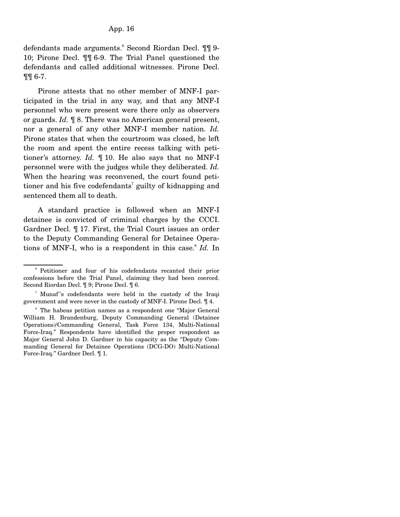defendants made arguments.<sup>6</sup> Second Riordan Decl. ¶¶ 9-10; Pirone Decl. ¶¶ 6-9. The Trial Panel questioned the defendants and called additional witnesses. Pirone Decl. ¶¶ 6-7.

 Pirone attests that no other member of MNF-I participated in the trial in any way, and that any MNF-I personnel who were present were there only as observers or guards. *Id.* ¶ 8. There was no American general present, nor a general of any other MNF-I member nation. *Id.* Pirone states that when the courtroom was closed, he left the room and spent the entire recess talking with petitioner's attorney. *Id.* ¶ 10. He also says that no MNF-I personnel were with the judges while they deliberated. *Id.* When the hearing was reconvened, the court found petitioner and his five codefendants<sup>7</sup> guilty of kidnapping and sentenced them all to death.

 A standard practice is followed when an MNF-I detainee is convicted of criminal charges by the CCCI. Gardner Decl. ¶ 17. First, the Trial Court issues an order to the Deputy Commanding General for Detainee Operations of MNF-I, who is a respondent in this case.<sup>8</sup> Id. In

<sup>&</sup>lt;sup>6</sup> Petitioner and four of his codefendants recanted their prior confessions before the Trial Panel, claiming they had been coerced. Second Riordan Decl. ¶ 9; Pirone Decl. ¶ 6.

<sup>&</sup>lt;sup>7</sup> Munaf's codefendants were held in the custody of the Iraqi government and were never in the custody of MNF-I. Pirone Decl. ¶ 4.

<sup>8</sup> The habeas petition names as a respondent one "Major General William H. Brandenburg, Deputy Commanding General (Detainee Operations)/Commanding General, Task Force 134, Multi-National Force-Iraq." Respondents have identified the proper respondent as Major General John D. Gardner in his capacity as the "Deputy Commanding General for Detainee Operations (DCG-DO) Multi-National Force-Iraq." Gardner Decl. ¶ 1.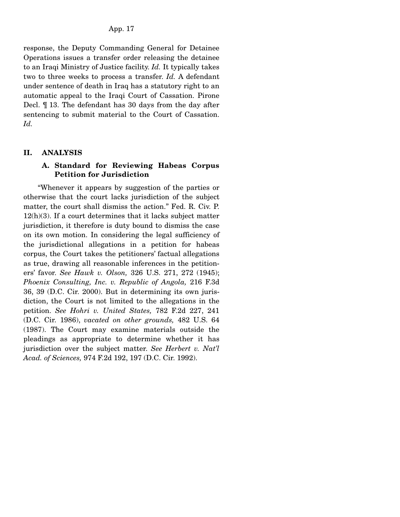response, the Deputy Commanding General for Detainee Operations issues a transfer order releasing the detainee to an Iraqi Ministry of Justice facility. *Id.* It typically takes two to three weeks to process a transfer. *Id.* A defendant under sentence of death in Iraq has a statutory right to an automatic appeal to the Iraqi Court of Cassation. Pirone Decl. ¶ 13. The defendant has 30 days from the day after sentencing to submit material to the Court of Cassation. *Id.*

### **II. ANALYSIS**

# **A. Standard for Reviewing Habeas Corpus Petition for Jurisdiction**

 "Whenever it appears by suggestion of the parties or otherwise that the court lacks jurisdiction of the subject matter, the court shall dismiss the action." Fed. R. Civ. P.  $12(h)(3)$ . If a court determines that it lacks subject matter jurisdiction, it therefore is duty bound to dismiss the case on its own motion. In considering the legal sufficiency of the jurisdictional allegations in a petition for habeas corpus, the Court takes the petitioners' factual allegations as true, drawing all reasonable inferences in the petitioners' favor. *See Hawk v. Olson,* 326 U.S. 271, 272 (1945); *Phoenix Consulting, Inc. v. Republic of Angola,* 216 F.3d 36, 39 (D.C. Cir. 2000). But in determining its own jurisdiction, the Court is not limited to the allegations in the petition. *See Hohri v. United States,* 782 F.2d 227, 241 (D.C. Cir. 1986), *vacated on other grounds,* 482 U.S. 64 (1987). The Court may examine materials outside the pleadings as appropriate to determine whether it has jurisdiction over the subject matter. *See Herbert v. Nat'l Acad. of Sciences,* 974 F.2d 192, 197 (D.C. Cir. 1992).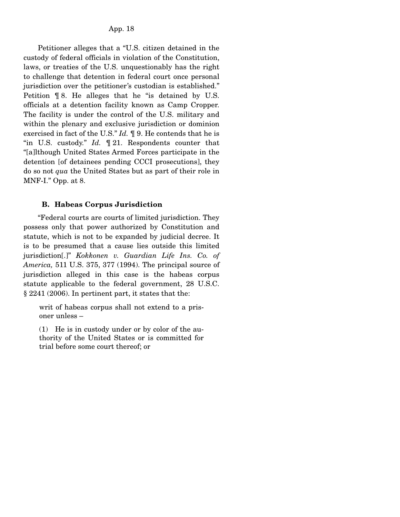Petitioner alleges that a "U.S. citizen detained in the custody of federal officials in violation of the Constitution, laws, or treaties of the U.S. unquestionably has the right to challenge that detention in federal court once personal jurisdiction over the petitioner's custodian is established." Petition ¶ 8. He alleges that he "is detained by U.S. officials at a detention facility known as Camp Cropper. The facility is under the control of the U.S. military and within the plenary and exclusive jurisdiction or dominion exercised in fact of the U.S." *Id.* ¶ 9. He contends that he is "in U.S. custody." *Id.* ¶ 21. Respondents counter that "[a]lthough United States Armed Forces participate in the detention [of detainees pending CCCI prosecutions], they do so not *qua* the United States but as part of their role in MNF-I." Opp. at 8.

### **B. Habeas Corpus Jurisdiction**

 "Federal courts are courts of limited jurisdiction. They possess only that power authorized by Constitution and statute, which is not to be expanded by judicial decree. It is to be presumed that a cause lies outside this limited jurisdiction[.]" *Kokkonen v. Guardian Life Ins. Co. of America,* 511 U.S. 375, 377 (1994). The principal source of jurisdiction alleged in this case is the habeas corpus statute applicable to the federal government, 28 U.S.C. § 2241 (2006). In pertinent part, it states that the:

writ of habeas corpus shall not extend to a prisoner unless –

(1) He is in custody under or by color of the authority of the United States or is committed for trial before some court thereof; or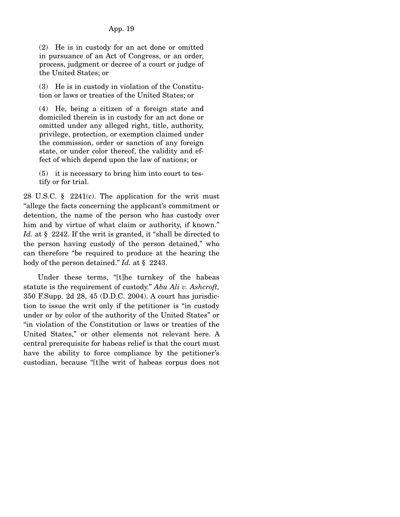(2) He is in custody for an act done or omitted in pursuance of an Act of Congress, or an order, process, judgment or decree of a court or judge of the United States; or

(3) He is in custody in violation of the Constitution or laws or treaties of the United States; or

(4) He, being a citizen of a foreign state and domiciled therein is in custody for an act done or omitted under any alleged right, title, authority, privilege, protection, or exemption claimed under the commission, order or sanction of any foreign state, or under color thereof, the validity and effect of which depend upon the law of nations; or

(5) it is necessary to bring him into court to testify or for trial.

28 U.S.C. § 2241(c). The application for the writ must "allege the facts concerning the applicant's commitment or detention, the name of the person who has custody over him and by virtue of what claim or authority, if known." Id. at § 2242. If the writ is granted, it "shall be directed to the person having custody of the person detained," who can therefore "be required to produce at the hearing the body of the person detained." *Id.* at § 2243.

 Under these terms, "[t]he turnkey of the habeas statute is the requirement of custody." *Abu Ali v. Ashcroft,* 350 F.Supp. 2d 28, 45 (D.D.C. 2004). A court has jurisdiction to issue the writ only if the petitioner is "in custody under or by color of the authority of the United States" or "in violation of the Constitution or laws or treaties of the United States," or other elements not relevant here. A central prerequisite for habeas relief is that the court must have the ability to force compliance by the petitioner's custodian, because "[t]he writ of habeas corpus does not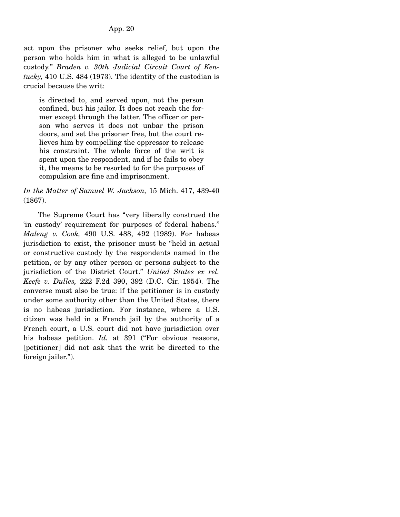act upon the prisoner who seeks relief, but upon the person who holds him in what is alleged to be unlawful custody." *Braden v. 30th Judicial Circuit Court of Kentucky,* 410 U.S. 484 (1973). The identity of the custodian is crucial because the writ:

is directed to, and served upon, not the person confined, but his jailor. It does not reach the former except through the latter. The officer or person who serves it does not unbar the prison doors, and set the prisoner free, but the court relieves him by compelling the oppressor to release his constraint. The whole force of the writ is spent upon the respondent, and if he fails to obey it, the means to be resorted to for the purposes of compulsion are fine and imprisonment.

# *In the Matter of Samuel W. Jackson,* 15 Mich. 417, 439-40 (1867).

 The Supreme Court has "very liberally construed the 'in custody' requirement for purposes of federal habeas." *Maleng v. Cook,* 490 U.S. 488, 492 (1989). For habeas jurisdiction to exist, the prisoner must be "held in actual or constructive custody by the respondents named in the petition, or by any other person or persons subject to the jurisdiction of the District Court." *United States ex rel. Keefe v. Dulles,* 222 F.2d 390, 392 (D.C. Cir. 1954). The converse must also be true: if the petitioner is in custody under some authority other than the United States, there is no habeas jurisdiction. For instance, where a U.S. citizen was held in a French jail by the authority of a French court, a U.S. court did not have jurisdiction over his habeas petition. *Id.* at 391 ("For obvious reasons, [petitioner] did not ask that the writ be directed to the foreign jailer.").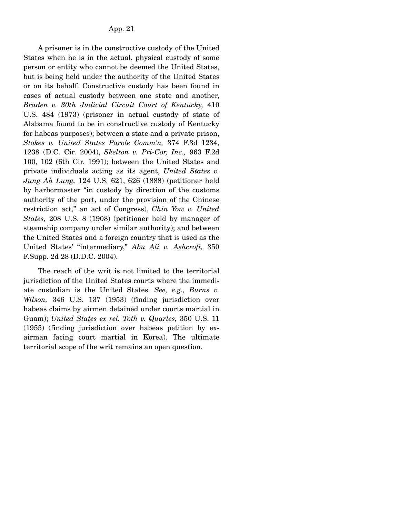A prisoner is in the constructive custody of the United States when he is in the actual, physical custody of some person or entity who cannot be deemed the United States, but is being held under the authority of the United States or on its behalf. Constructive custody has been found in cases of actual custody between one state and another, *Braden v. 30th Judicial Circuit Court of Kentucky,* 410 U.S. 484 (1973) (prisoner in actual custody of state of Alabama found to be in constructive custody of Kentucky for habeas purposes); between a state and a private prison, *Stokes v. United States Parole Comm'n,* 374 F.3d 1234, 1238 (D.C. Cir. 2004), *Skelton v. Pri-Cor, Inc.,* 963 F.2d 100, 102 (6th Cir. 1991); between the United States and private individuals acting as its agent, *United States v. Jung Ah Lung,* 124 U.S. 621, 626 (1888) (petitioner held by harbormaster "in custody by direction of the customs authority of the port, under the provision of the Chinese restriction act," an act of Congress), *Chin Yow v. United States,* 208 U.S. 8 (1908) (petitioner held by manager of steamship company under similar authority); and between the United States and a foreign country that is used as the United States' "intermediary," *Abu Ali v. Ashcroft,* 350 F.Supp. 2d 28 (D.D.C. 2004).

 The reach of the writ is not limited to the territorial jurisdiction of the United States courts where the immediate custodian is the United States. *See, e.g., Burns v. Wilson,* 346 U.S. 137 (1953) (finding jurisdiction over habeas claims by airmen detained under courts martial in Guam); *United States ex rel. Toth v. Quarles,* 350 U.S. 11 (1955) (finding jurisdiction over habeas petition by exairman facing court martial in Korea). The ultimate territorial scope of the writ remains an open question.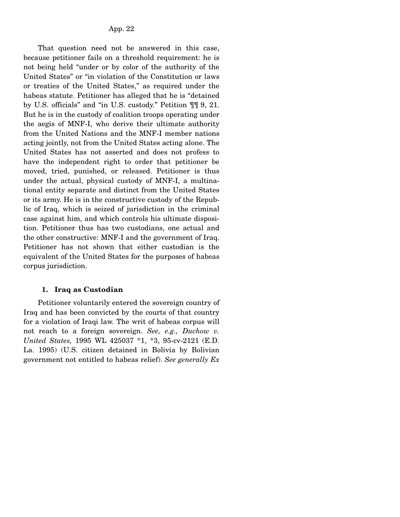That question need not be answered in this case, because petitioner fails on a threshold requirement: he is not being held "under or by color of the authority of the United States" or "in violation of the Constitution or laws or treaties of the United States," as required under the habeas statute. Petitioner has alleged that he is "detained by U.S. officials" and "in U.S. custody." Petition ¶¶ 9, 21. But he is in the custody of coalition troops operating under the aegis of MNF-I, who derive their ultimate authority from the United Nations and the MNF-I member nations acting jointly, not from the United States acting alone. The United States has not asserted and does not profess to have the independent right to order that petitioner be moved, tried, punished, or released. Petitioner is thus under the actual, physical custody of MNF-I, a multinational entity separate and distinct from the United States or its army. He is in the constructive custody of the Republic of Iraq, which is seized of jurisdiction in the criminal case against him, and which controls his ultimate disposition. Petitioner thus has two custodians, one actual and the other constructive: MNF-I and the government of Iraq. Petitioner has not shown that either custodian is the equivalent of the United States for the purposes of habeas corpus jurisdiction.

### **1. Iraq as Custodian**

 Petitioner voluntarily entered the sovereign country of Iraq and has been convicted by the courts of that country for a violation of Iraqi law. The writ of habeas corpus will not reach to a foreign sovereign. *See, e.g., Duchow v. United States,* 1995 WL 425037 \*1, \*3, 95-cv-2121 (E.D. La. 1995) (U.S. citizen detained in Bolivia by Bolivian government not entitled to habeas relief). *See generally Ex*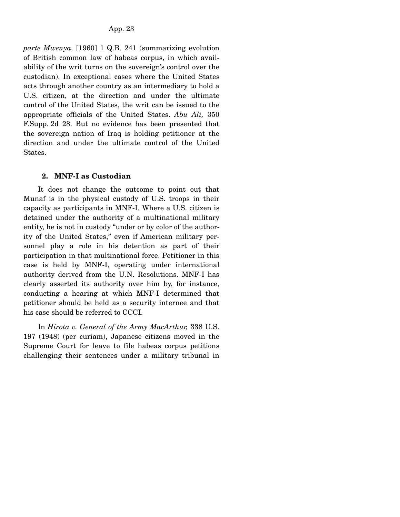*parte Mwenya,* [1960] 1 Q.B. 241 (summarizing evolution of British common law of habeas corpus, in which availability of the writ turns on the sovereign's control over the custodian). In exceptional cases where the United States acts through another country as an intermediary to hold a U.S. citizen, at the direction and under the ultimate control of the United States, the writ can be issued to the appropriate officials of the United States. *Abu Ali,* 350 F.Supp. 2d 28. But no evidence has been presented that the sovereign nation of Iraq is holding petitioner at the direction and under the ultimate control of the United States.

### **2. MNF-I as Custodian**

 It does not change the outcome to point out that Munaf is in the physical custody of U.S. troops in their capacity as participants in MNF-I. Where a U.S. citizen is detained under the authority of a multinational military entity, he is not in custody "under or by color of the authority of the United States," even if American military personnel play a role in his detention as part of their participation in that multinational force. Petitioner in this case is held by MNF-I, operating under international authority derived from the U.N. Resolutions. MNF-I has clearly asserted its authority over him by, for instance, conducting a hearing at which MNF-I determined that petitioner should be held as a security internee and that his case should be referred to CCCI.

 In *Hirota v. General of the Army MacArthur,* 338 U.S. 197 (1948) (per curiam), Japanese citizens moved in the Supreme Court for leave to file habeas corpus petitions challenging their sentences under a military tribunal in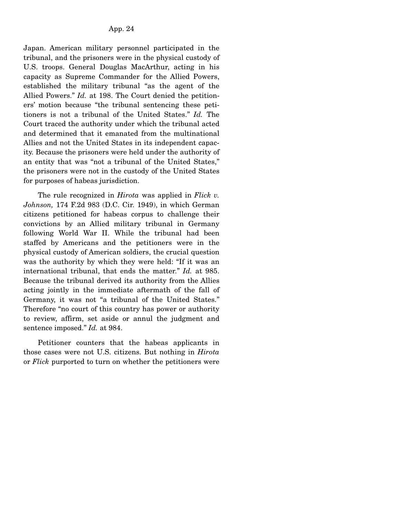Japan. American military personnel participated in the tribunal, and the prisoners were in the physical custody of U.S. troops. General Douglas MacArthur, acting in his capacity as Supreme Commander for the Allied Powers, established the military tribunal "as the agent of the Allied Powers." *Id.* at 198. The Court denied the petitioners' motion because "the tribunal sentencing these petitioners is not a tribunal of the United States." *Id.* The Court traced the authority under which the tribunal acted and determined that it emanated from the multinational Allies and not the United States in its independent capacity. Because the prisoners were held under the authority of an entity that was "not a tribunal of the United States," the prisoners were not in the custody of the United States for purposes of habeas jurisdiction.

 The rule recognized in *Hirota* was applied in *Flick v. Johnson,* 174 F.2d 983 (D.C. Cir. 1949), in which German citizens petitioned for habeas corpus to challenge their convictions by an Allied military tribunal in Germany following World War II. While the tribunal had been staffed by Americans and the petitioners were in the physical custody of American soldiers, the crucial question was the authority by which they were held: "If it was an international tribunal, that ends the matter." *Id.* at 985. Because the tribunal derived its authority from the Allies acting jointly in the immediate aftermath of the fall of Germany, it was not "a tribunal of the United States." Therefore "no court of this country has power or authority to review, affirm, set aside or annul the judgment and sentence imposed." *Id.* at 984.

 Petitioner counters that the habeas applicants in those cases were not U.S. citizens. But nothing in *Hirota* or *Flick* purported to turn on whether the petitioners were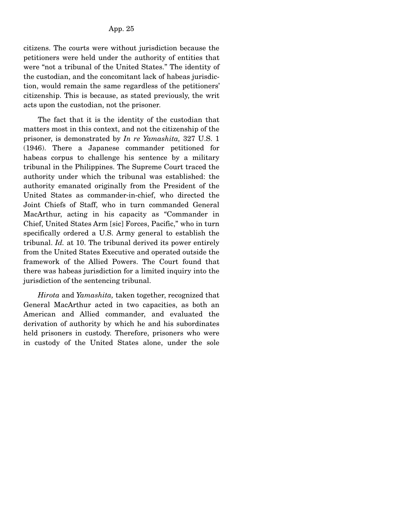citizens. The courts were without jurisdiction because the petitioners were held under the authority of entities that were "not a tribunal of the United States." The identity of the custodian, and the concomitant lack of habeas jurisdiction, would remain the same regardless of the petitioners' citizenship. This is because, as stated previously, the writ acts upon the custodian, not the prisoner.

 The fact that it is the identity of the custodian that matters most in this context, and not the citizenship of the prisoner, is demonstrated by *In re Yamashita,* 327 U.S. 1 (1946). There a Japanese commander petitioned for habeas corpus to challenge his sentence by a military tribunal in the Philippines. The Supreme Court traced the authority under which the tribunal was established: the authority emanated originally from the President of the United States as commander-in-chief, who directed the Joint Chiefs of Staff, who in turn commanded General MacArthur, acting in his capacity as "Commander in Chief, United States Arm [sic] Forces, Pacific," who in turn specifically ordered a U.S. Army general to establish the tribunal. *Id.* at 10. The tribunal derived its power entirely from the United States Executive and operated outside the framework of the Allied Powers. The Court found that there was habeas jurisdiction for a limited inquiry into the jurisdiction of the sentencing tribunal.

 *Hirota* and *Yamashita,* taken together, recognized that General MacArthur acted in two capacities, as both an American and Allied commander, and evaluated the derivation of authority by which he and his subordinates held prisoners in custody. Therefore, prisoners who were in custody of the United States alone, under the sole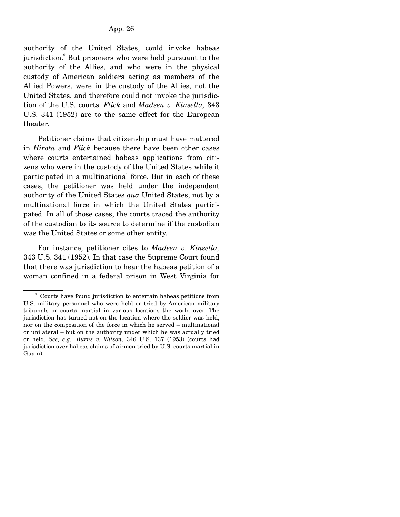authority of the United States, could invoke habeas jurisdiction.<sup>9</sup> But prisoners who were held pursuant to the authority of the Allies, and who were in the physical custody of American soldiers acting as members of the Allied Powers, were in the custody of the Allies, not the United States, and therefore could not invoke the jurisdiction of the U.S. courts. *Flick* and *Madsen v. Kinsella,* 343 U.S. 341 (1952) are to the same effect for the European theater.

 Petitioner claims that citizenship must have mattered in *Hirota* and *Flick* because there have been other cases where courts entertained habeas applications from citizens who were in the custody of the United States while it participated in a multinational force. But in each of these cases, the petitioner was held under the independent authority of the United States *qua* United States, not by a multinational force in which the United States participated. In all of those cases, the courts traced the authority of the custodian to its source to determine if the custodian was the United States or some other entity.

 For instance, petitioner cites to *Madsen v. Kinsella,* 343 U.S. 341 (1952). In that case the Supreme Court found that there was jurisdiction to hear the habeas petition of a woman confined in a federal prison in West Virginia for

<sup>9</sup> Courts have found jurisdiction to entertain habeas petitions from U.S. military personnel who were held or tried by American military tribunals or courts martial in various locations the world over. The jurisdiction has turned not on the location where the soldier was held, nor on the composition of the force in which he served – multinational or unilateral – but on the authority under which he was actually tried or held. *See, e.g., Burns v. Wilson,* 346 U.S. 137 (1953) (courts had jurisdiction over habeas claims of airmen tried by U.S. courts martial in Guam).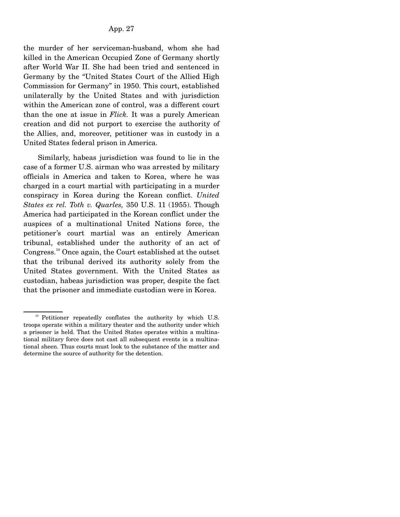the murder of her serviceman-husband, whom she had killed in the American Occupied Zone of Germany shortly after World War II. She had been tried and sentenced in Germany by the "United States Court of the Allied High Commission for Germany" in 1950. This court, established unilaterally by the United States and with jurisdiction within the American zone of control, was a different court than the one at issue in *Flick.* It was a purely American creation and did not purport to exercise the authority of the Allies, and, moreover, petitioner was in custody in a United States federal prison in America.

 Similarly, habeas jurisdiction was found to lie in the case of a former U.S. airman who was arrested by military officials in America and taken to Korea, where he was charged in a court martial with participating in a murder conspiracy in Korea during the Korean conflict. *United States ex rel. Toth v. Quarles,* 350 U.S. 11 (1955). Though America had participated in the Korean conflict under the auspices of a multinational United Nations force, the petitioner's court martial was an entirely American tribunal, established under the authority of an act of Congress.10 Once again, the Court established at the outset that the tribunal derived its authority solely from the United States government. With the United States as custodian, habeas jurisdiction was proper, despite the fact that the prisoner and immediate custodian were in Korea.

 $10$  Petitioner repeatedly conflates the authority by which U.S. troops operate within a military theater and the authority under which a prisoner is held. That the United States operates within a multinational military force does not cast all subsequent events in a multinational sheen. Thus courts must look to the substance of the matter and determine the source of authority for the detention.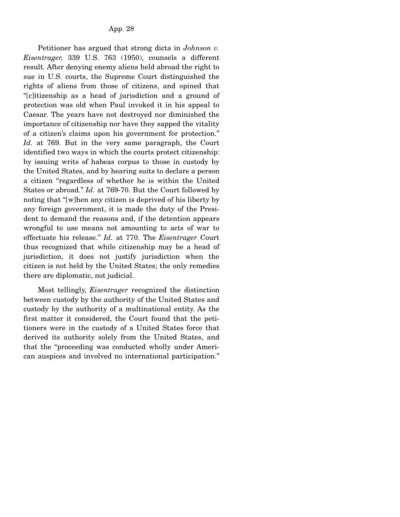Petitioner has argued that strong dicta in *Johnson v. Eisentrager,* 339 U.S. 763 (1950), counsels a different result. After denying enemy aliens held abroad the right to sue in U.S. courts, the Supreme Court distinguished the rights of aliens from those of citizens, and opined that "[c]itizenship as a head of jurisdiction and a ground of protection was old when Paul invoked it in his appeal to Caesar. The years have not destroyed nor diminished the importance of citizenship nor have they sapped the vitality of a citizen's claims upon his government for protection." *Id.* at 769. But in the very same paragraph, the Court identified two ways in which the courts protect citizenship: by issuing writs of habeas corpus to those in custody by the United States, and by hearing suits to declare a person a citizen "regardless of whether he is within the United States or abroad." *Id.* at 769-70. But the Court followed by noting that "[w]hen any citizen is deprived of his liberty by any foreign government, it is made the duty of the President to demand the reasons and, if the detention appears wrongful to use means not amounting to acts of war to effectuate his release." *Id.* at 770. The *Eisentrager* Court thus recognized that while citizenship may be a head of jurisdiction, it does not justify jurisdiction when the citizen is not held by the United States; the only remedies there are diplomatic, not judicial.

 Most tellingly, *Eisentrager* recognized the distinction between custody by the authority of the United States and custody by the authority of a multinational entity. As the first matter it considered, the Court found that the petitioners were in the custody of a United States force that derived its authority solely from the United States, and that the "proceeding was conducted wholly under American auspices and involved no international participation."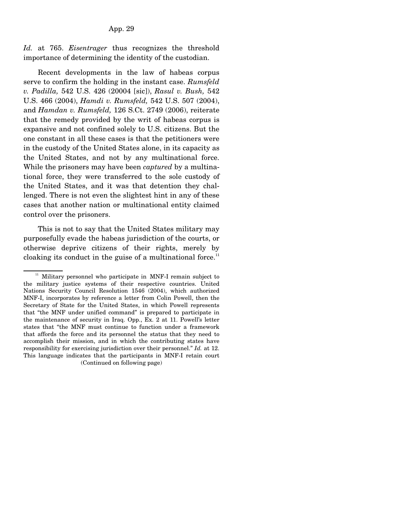*Id.* at 765. *Eisentrager* thus recognizes the threshold importance of determining the identity of the custodian.

 Recent developments in the law of habeas corpus serve to confirm the holding in the instant case. *Rumsfeld v. Padilla,* 542 U.S. 426 (20004 [sic]), *Rasul v. Bush,* 542 U.S. 466 (2004), *Hamdi v. Rumsfeld,* 542 U.S. 507 (2004), and *Hamdan v. Rumsfeld,* 126 S.Ct. 2749 (2006), reiterate that the remedy provided by the writ of habeas corpus is expansive and not confined solely to U.S. citizens. But the one constant in all these cases is that the petitioners were in the custody of the United States alone, in its capacity as the United States, and not by any multinational force. While the prisoners may have been *captured* by a multinational force, they were transferred to the sole custody of the United States, and it was that detention they challenged. There is not even the slightest hint in any of these cases that another nation or multinational entity claimed control over the prisoners.

 This is not to say that the United States military may purposefully evade the habeas jurisdiction of the courts, or otherwise deprive citizens of their rights, merely by cloaking its conduct in the guise of a multinational force.<sup>11</sup>

<sup>&</sup>lt;sup>11</sup> Military personnel who participate in MNF-I remain subject to the military justice systems of their respective countries. United Nations Security Council Resolution 1546 (2004), which authorized MNF-I, incorporates by reference a letter from Colin Powell, then the Secretary of State for the United States, in which Powell represents that "the MNF under unified command" is prepared to participate in the maintenance of security in Iraq. Opp., Ex. 2 at 11. Powell's letter states that "the MNF must continue to function under a framework that affords the force and its personnel the status that they need to accomplish their mission, and in which the contributing states have responsibility for exercising jurisdiction over their personnel." *Id.* at 12. This language indicates that the participants in MNF-I retain court (Continued on following page)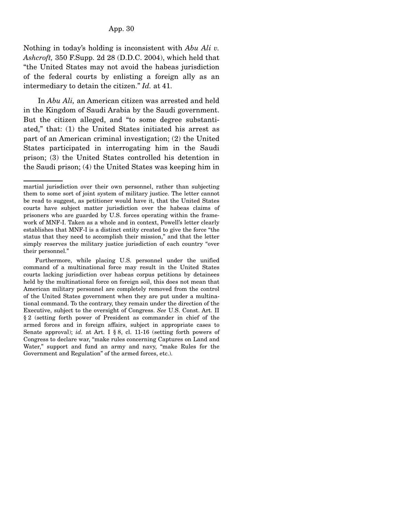Nothing in today's holding is inconsistent with *Abu Ali v. Ashcroft,* 350 F.Supp. 2d 28 (D.D.C. 2004), which held that "the United States may not avoid the habeas jurisdiction of the federal courts by enlisting a foreign ally as an intermediary to detain the citizen." *Id.* at 41.

 In *Abu Ali,* an American citizen was arrested and held in the Kingdom of Saudi Arabia by the Saudi government. But the citizen alleged, and "to some degree substantiated," that: (1) the United States initiated his arrest as part of an American criminal investigation; (2) the United States participated in interrogating him in the Saudi prison; (3) the United States controlled his detention in the Saudi prison; (4) the United States was keeping him in

martial jurisdiction over their own personnel, rather than subjecting them to some sort of joint system of military justice. The letter cannot be read to suggest, as petitioner would have it, that the United States courts have subject matter jurisdiction over the habeas claims of prisoners who are guarded by U.S. forces operating within the framework of MNF-I. Taken as a whole and in context, Powell's letter clearly establishes that MNF-I is a distinct entity created to give the force "the status that they need to accomplish their mission," and that the letter simply reserves the military justice jurisdiction of each country "over their personnel."

Furthermore, while placing U.S. personnel under the unified command of a multinational force may result in the United States courts lacking jurisdiction over habeas corpus petitions by detainees held by the multinational force on foreign soil, this does not mean that American military personnel are completely removed from the control of the United States government when they are put under a multinational command. To the contrary, they remain under the direction of the Executive, subject to the oversight of Congress. *See* U.S. Const. Art. II § 2 (setting forth power of President as commander in chief of the armed forces and in foreign affairs, subject in appropriate cases to Senate approval); *id.* at Art. I § 8, cl. 11-16 (setting forth powers of Congress to declare war, "make rules concerning Captures on Land and Water," support and fund an army and navy, "make Rules for the Government and Regulation" of the armed forces, etc.).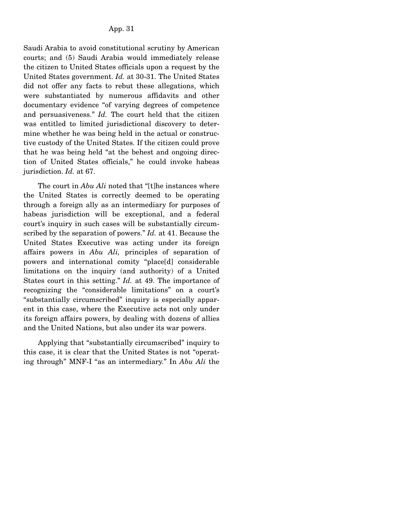Saudi Arabia to avoid constitutional scrutiny by American courts; and (5) Saudi Arabia would immediately release the citizen to United States officials upon a request by the United States government. *Id.* at 30-31. The United States did not offer any facts to rebut these allegations, which were substantiated by numerous affidavits and other documentary evidence "of varying degrees of competence and persuasiveness." *Id.* The court held that the citizen was entitled to limited jurisdictional discovery to determine whether he was being held in the actual or constructive custody of the United States. If the citizen could prove that he was being held "at the behest and ongoing direction of United States officials," he could invoke habeas jurisdiction. *Id.* at 67.

 The court in *Abu Ali* noted that "[t]he instances where the United States is correctly deemed to be operating through a foreign ally as an intermediary for purposes of habeas jurisdiction will be exceptional, and a federal court's inquiry in such cases will be substantially circumscribed by the separation of powers." *Id.* at 41. Because the United States Executive was acting under its foreign affairs powers in *Abu Ali,* principles of separation of powers and international comity "place[d] considerable limitations on the inquiry (and authority) of a United States court in this setting." *Id.* at 49. The importance of recognizing the "considerable limitations" on a court's "substantially circumscribed" inquiry is especially apparent in this case, where the Executive acts not only under its foreign affairs powers, by dealing with dozens of allies and the United Nations, but also under its war powers.

 Applying that "substantially circumscribed" inquiry to this case, it is clear that the United States is not "operating through" MNF-I "as an intermediary." In *Abu Ali* the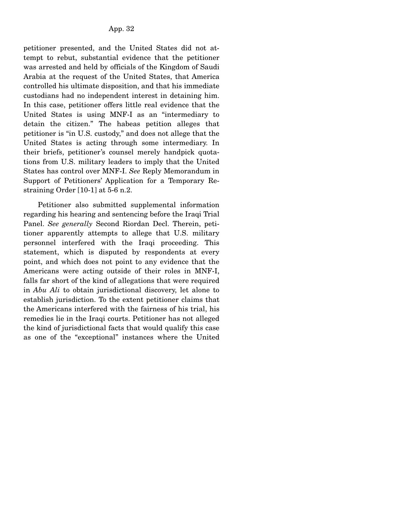petitioner presented, and the United States did not attempt to rebut, substantial evidence that the petitioner was arrested and held by officials of the Kingdom of Saudi Arabia at the request of the United States, that America controlled his ultimate disposition, and that his immediate custodians had no independent interest in detaining him. In this case, petitioner offers little real evidence that the United States is using MNF-I as an "intermediary to detain the citizen." The habeas petition alleges that petitioner is "in U.S. custody," and does not allege that the United States is acting through some intermediary. In their briefs, petitioner's counsel merely handpick quotations from U.S. military leaders to imply that the United States has control over MNF-I. *See* Reply Memorandum in Support of Petitioners' Application for a Temporary Restraining Order [10-1] at 5-6 n.2.

 Petitioner also submitted supplemental information regarding his hearing and sentencing before the Iraqi Trial Panel. *See generally* Second Riordan Decl. Therein, petitioner apparently attempts to allege that U.S. military personnel interfered with the Iraqi proceeding. This statement, which is disputed by respondents at every point, and which does not point to any evidence that the Americans were acting outside of their roles in MNF-I, falls far short of the kind of allegations that were required in *Abu Ali* to obtain jurisdictional discovery, let alone to establish jurisdiction. To the extent petitioner claims that the Americans interfered with the fairness of his trial, his remedies lie in the Iraqi courts. Petitioner has not alleged the kind of jurisdictional facts that would qualify this case as one of the "exceptional" instances where the United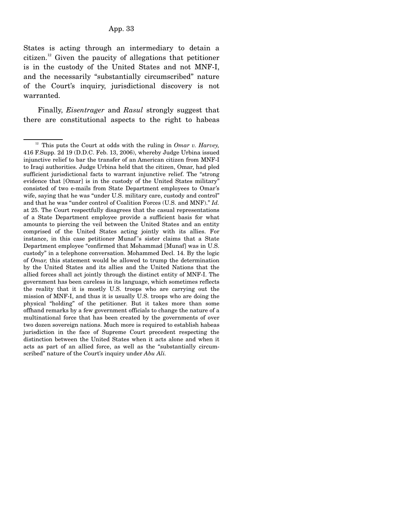States is acting through an intermediary to detain a citizen.<sup>12</sup> Given the paucity of allegations that petitioner is in the custody of the United States and not MNF-I, and the necessarily "substantially circumscribed" nature of the Court's inquiry, jurisdictional discovery is not warranted.

 Finally, *Eisentrager* and *Rasul* strongly suggest that there are constitutional aspects to the right to habeas

12 This puts the Court at odds with the ruling in *Omar v. Harvey,* 416 F.Supp. 2d 19 (D.D.C. Feb. 13, 2006), whereby Judge Urbina issued injunctive relief to bar the transfer of an American citizen from MNF-I to Iraqi authorities. Judge Urbina held that the citizen, Omar, had pled sufficient jurisdictional facts to warrant injunctive relief. The "strong evidence that [Omar] is in the custody of the United States military" consisted of two e-mails from State Department employees to Omar's wife, saying that he was "under U.S. military care, custody and control" and that he was "under control of Coalition Forces (U.S. and MNF)." *Id.* at 25. The Court respectfully disagrees that the casual representations of a State Department employee provide a sufficient basis for what amounts to piercing the veil between the United States and an entity comprised of the United States acting jointly with its allies. For instance, in this case petitioner Munaf's sister claims that a State Department employee "confirmed that Mohammad [Munaf] was in U.S. custody" in a telephone conversation. Mohammed Decl. 14. By the logic of *Omar,* this statement would be allowed to trump the determination by the United States and its allies and the United Nations that the allied forces shall act jointly through the distinct entity of MNF-I. The government has been careless in its language, which sometimes reflects the reality that it is mostly U.S. troops who are carrying out the mission of MNF-I, and thus it is usually U.S. troops who are doing the physical "holding" of the petitioner. But it takes more than some offhand remarks by a few government officials to change the nature of a multinational force that has been created by the governments of over two dozen sovereign nations. Much more is required to establish habeas jurisdiction in the face of Supreme Court precedent respecting the distinction between the United States when it acts alone and when it acts as part of an allied force, as well as the "substantially circumscribed" nature of the Court's inquiry under *Abu Ali.*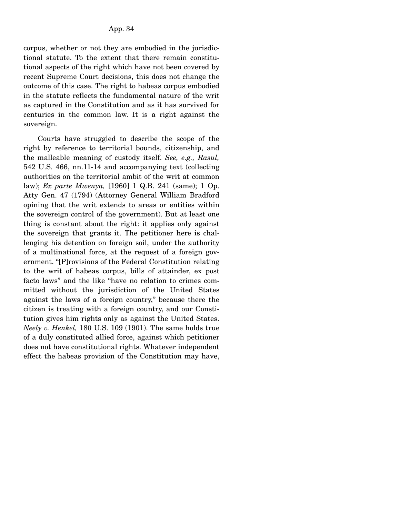corpus, whether or not they are embodied in the jurisdictional statute. To the extent that there remain constitutional aspects of the right which have not been covered by recent Supreme Court decisions, this does not change the outcome of this case. The right to habeas corpus embodied in the statute reflects the fundamental nature of the writ as captured in the Constitution and as it has survived for centuries in the common law. It is a right against the sovereign.

 Courts have struggled to describe the scope of the right by reference to territorial bounds, citizenship, and the malleable meaning of custody itself. *See, e.g., Rasul,* 542 U.S. 466, nn.11-14 and accompanying text (collecting authorities on the territorial ambit of the writ at common law); *Ex parte Mwenya,* [1960] 1 Q.B. 241 (same); 1 Op. Atty Gen. 47 (1794) (Attorney General William Bradford opining that the writ extends to areas or entities within the sovereign control of the government). But at least one thing is constant about the right: it applies only against the sovereign that grants it. The petitioner here is challenging his detention on foreign soil, under the authority of a multinational force, at the request of a foreign government. "[P]rovisions of the Federal Constitution relating to the writ of habeas corpus, bills of attainder, ex post facto laws" and the like "have no relation to crimes committed without the jurisdiction of the United States against the laws of a foreign country," because there the citizen is treating with a foreign country, and our Constitution gives him rights only as against the United States. *Neely v. Henkel,* 180 U.S. 109 (1901). The same holds true of a duly constituted allied force, against which petitioner does not have constitutional rights. Whatever independent effect the habeas provision of the Constitution may have,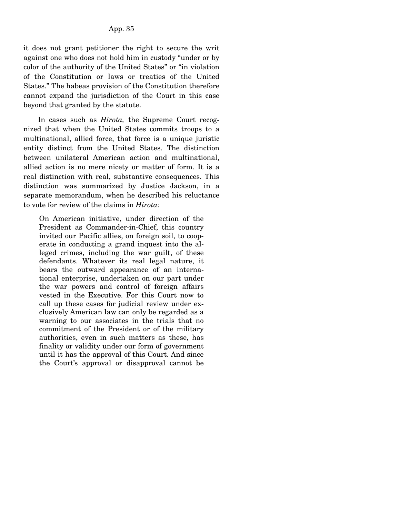it does not grant petitioner the right to secure the writ against one who does not hold him in custody "under or by color of the authority of the United States" or "in violation of the Constitution or laws or treaties of the United States." The habeas provision of the Constitution therefore cannot expand the jurisdiction of the Court in this case beyond that granted by the statute.

 In cases such as *Hirota,* the Supreme Court recognized that when the United States commits troops to a multinational, allied force, that force is a unique juristic entity distinct from the United States. The distinction between unilateral American action and multinational, allied action is no mere nicety or matter of form. It is a real distinction with real, substantive consequences. This distinction was summarized by Justice Jackson, in a separate memorandum, when he described his reluctance to vote for review of the claims in *Hirota:*

On American initiative, under direction of the President as Commander-in-Chief, this country invited our Pacific allies, on foreign soil, to cooperate in conducting a grand inquest into the alleged crimes, including the war guilt, of these defendants. Whatever its real legal nature, it bears the outward appearance of an international enterprise, undertaken on our part under the war powers and control of foreign affairs vested in the Executive. For this Court now to call up these cases for judicial review under exclusively American law can only be regarded as a warning to our associates in the trials that no commitment of the President or of the military authorities, even in such matters as these, has finality or validity under our form of government until it has the approval of this Court. And since the Court's approval or disapproval cannot be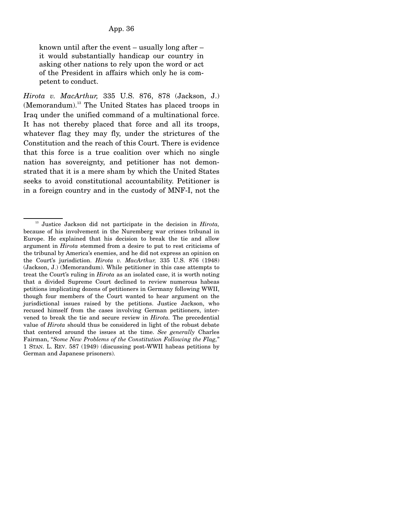known until after the event – usually long after – it would substantially handicap our country in asking other nations to rely upon the word or act of the President in affairs which only he is competent to conduct.

*Hirota v. MacArthur,* 335 U.S. 876, 878 (Jackson, J.) (Memorandum).<sup>13</sup> The United States has placed troops in Iraq under the unified command of a multinational force. It has not thereby placed that force and all its troops, whatever flag they may fly, under the strictures of the Constitution and the reach of this Court. There is evidence that this force is a true coalition over which no single nation has sovereignty, and petitioner has not demonstrated that it is a mere sham by which the United States seeks to avoid constitutional accountability. Petitioner is in a foreign country and in the custody of MNF-I, not the

13 Justice Jackson did not participate in the decision in *Hirota,* because of his involvement in the Nuremberg war crimes tribunal in Europe. He explained that his decision to break the tie and allow argument in *Hirota* stemmed from a desire to put to rest criticisms of the tribunal by America's enemies, and he did not express an opinion on the Court's jurisdiction. *Hirota v. MacArthur,* 335 U.S. 876 (1948) (Jackson, J.) (Memorandum). While petitioner in this case attempts to treat the Court's ruling in *Hirota* as an isolated case, it is worth noting that a divided Supreme Court declined to review numerous habeas petitions implicating dozens of petitioners in Germany following WWII, though four members of the Court wanted to hear argument on the jurisdictional issues raised by the petitions. Justice Jackson, who recused himself from the cases involving German petitioners, intervened to break the tie and secure review in *Hirota.* The precedential value of *Hirota* should thus be considered in light of the robust debate that centered around the issues at the time. *See generally* Charles Fairman, "*Some New Problems of the Constitution Following the Flag,*" 1 STAN. L. REV. 587 (1949) (discussing post-WWII habeas petitions by German and Japanese prisoners).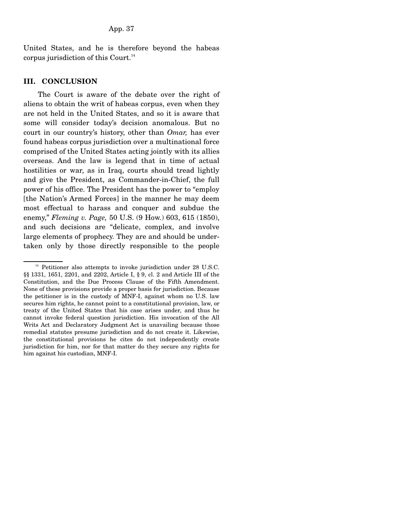United States, and he is therefore beyond the habeas corpus jurisdiction of this Court. $^{14}$ 

## **III. CONCLUSION**

 The Court is aware of the debate over the right of aliens to obtain the writ of habeas corpus, even when they are not held in the United States, and so it is aware that some will consider today's decision anomalous. But no court in our country's history, other than *Omar,* has ever found habeas corpus jurisdiction over a multinational force comprised of the United States acting jointly with its allies overseas. And the law is legend that in time of actual hostilities or war, as in Iraq, courts should tread lightly and give the President, as Commander-in-Chief, the full power of his office. The President has the power to "employ [the Nation's Armed Forces] in the manner he may deem most effectual to harass and conquer and subdue the enemy," *Fleming v. Page,* 50 U.S. (9 How.) 603, 615 (1850), and such decisions are "delicate, complex, and involve large elements of prophecy. They are and should be undertaken only by those directly responsible to the people

 $14$  Petitioner also attempts to invoke jurisdiction under 28 U.S.C. §§ 1331, 1651, 2201, and 2202, Article I, § 9, cl. 2 and Article III of the Constitution, and the Due Process Clause of the Fifth Amendment. None of these provisions provide a proper basis for jurisdiction. Because the petitioner is in the custody of MNF-I, against whom no U.S. law secures him rights, he cannot point to a constitutional provision, law, or treaty of the United States that his case arises under, and thus he cannot invoke federal question jurisdiction. His invocation of the All Writs Act and Declaratory Judgment Act is unavailing because those remedial statutes presume jurisdiction and do not create it. Likewise, the constitutional provisions he cites do not independently create jurisdiction for him, nor for that matter do they secure any rights for him against his custodian, MNF-I.